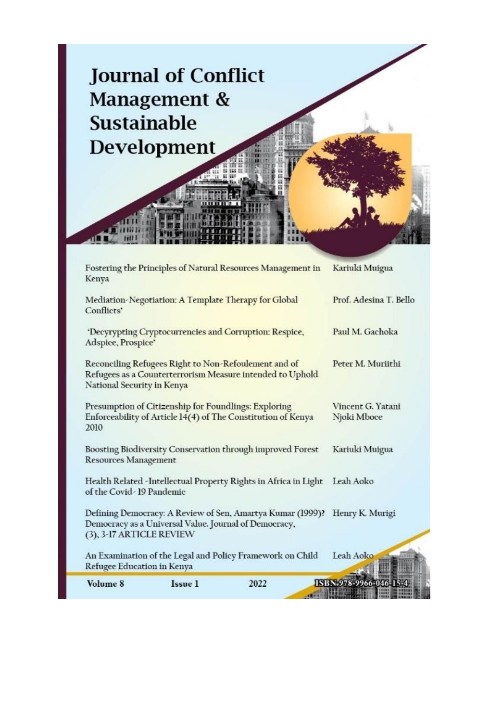

| Volume 8                                                                                                                                        | Issue 1                                               | 2022                                                       | ISBN 978-9966-046-1              |
|-------------------------------------------------------------------------------------------------------------------------------------------------|-------------------------------------------------------|------------------------------------------------------------|----------------------------------|
| Refugee Education in Kenya                                                                                                                      |                                                       | An Examination of the Legal and Policy Framework on Child  | Leah Aoko                        |
| (3), 3-17 ARTICLE REVIEW                                                                                                                        | Democracy as a Universal Value. Journal of Democracy, |                                                            |                                  |
|                                                                                                                                                 |                                                       | Defining Democracy: A Review of Sen, Amartya Kumar (1999)? | Henry K. Murigi                  |
| Health Related -Intellectual Property Rights in Africa in Light<br>of the Covid-19 Pandemic                                                     |                                                       |                                                            | Leah Aoko                        |
| Boosting Biodiversity Conservation through improved Forest<br><b>Resources Management</b>                                                       |                                                       |                                                            | Kariuki Muigua                   |
| Presumption of Citizenship for Foundlings: Exploring<br>Enforceability of Article 14(4) of The Constitution of Kenya<br>2010                    |                                                       |                                                            | Vincent G. Yatani<br>Njoki Mboce |
| Reconciling Refugees Right to Non-Refoulement and of<br>Refugees as a Counterterrorism Measure intended to Uphold<br>National Security in Kenya |                                                       |                                                            | Peter M. Muriithi                |
| 'Decyrypting Cryptocurrencies and Corruption: Respice,<br>Adspice, Prospice'                                                                    |                                                       |                                                            | Paul M. Gachoka                  |
| Mediation-Negotiation: A Template Therapy for Global<br>Conflicts'                                                                              |                                                       |                                                            | Prof. Adesina T. Bello           |
| Fostering the Principles of Natural Resources Management in<br>Kenya                                                                            |                                                       |                                                            | Kariuki Muigua                   |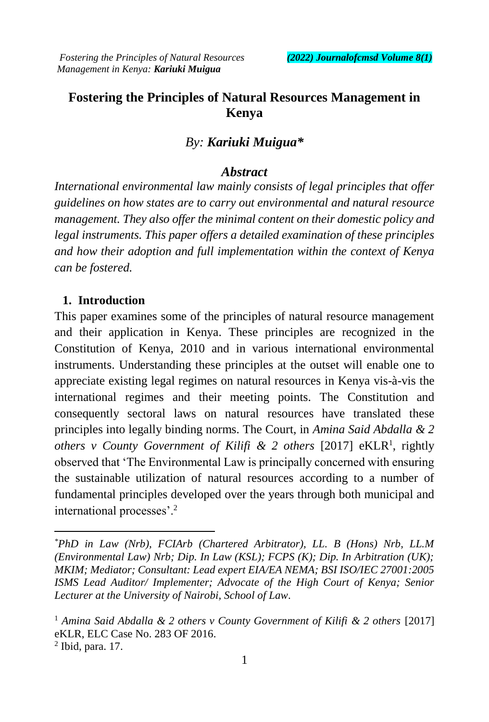# **Fostering the Principles of Natural Resources Management in Kenya**

# *By: Kariuki Muigua\**

# *Abstract*

*International environmental law mainly consists of legal principles that offer guidelines on how states are to carry out environmental and natural resource management. They also offer the minimal content on their domestic policy and legal instruments. This paper offers a detailed examination of these principles and how their adoption and full implementation within the context of Kenya can be fostered.*

## **1. Introduction**

This paper examines some of the principles of natural resource management and their application in Kenya. These principles are recognized in the Constitution of Kenya, 2010 and in various international environmental instruments. Understanding these principles at the outset will enable one to appreciate existing legal regimes on natural resources in Kenya vis-à-vis the international regimes and their meeting points. The Constitution and consequently sectoral laws on natural resources have translated these principles into legally binding norms. The Court, in *Amina Said Abdalla & 2*  others v County Government of Kilifi & 2 others [2017] eKLR<sup>1</sup>, rightly observed that 'The Environmental Law is principally concerned with ensuring the sustainable utilization of natural resources according to a number of fundamental principles developed over the years through both municipal and international processes'.<sup>2</sup>

*<sup>\*</sup>PhD in Law (Nrb), FCIArb (Chartered Arbitrator), LL. B (Hons) Nrb, LL.M (Environmental Law) Nrb; Dip. In Law (KSL); FCPS (K); Dip. In Arbitration (UK); MKIM; Mediator; Consultant: Lead expert EIA/EA NEMA; BSI ISO/IEC 27001:2005 ISMS Lead Auditor/ Implementer; Advocate of the High Court of Kenya; Senior Lecturer at the University of Nairobi, School of Law*.

<sup>1</sup> *Amina Said Abdalla & 2 others v County Government of Kilifi & 2 others* [2017] eKLR, ELC Case No. 283 OF 2016.

<sup>2</sup> Ibid, para. 17.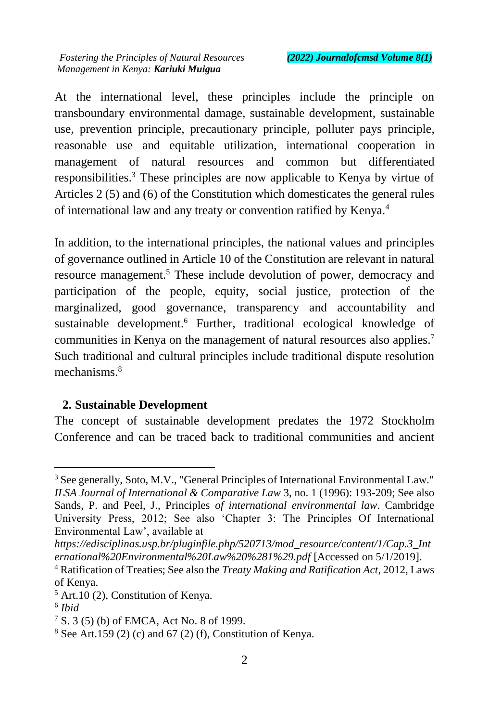At the international level, these principles include the principle on transboundary environmental damage, sustainable development, sustainable use, prevention principle, precautionary principle, polluter pays principle, reasonable use and equitable utilization, international cooperation in management of natural resources and common but differentiated responsibilities.<sup>3</sup> These principles are now applicable to Kenya by virtue of Articles 2 (5) and (6) of the Constitution which domesticates the general rules of international law and any treaty or convention ratified by Kenya.<sup>4</sup>

In addition, to the international principles, the national values and principles of governance outlined in Article 10 of the Constitution are relevant in natural resource management.<sup>5</sup> These include devolution of power, democracy and participation of the people, equity, social justice, protection of the marginalized, good governance, transparency and accountability and sustainable development. <sup>6</sup> Further, traditional ecological knowledge of communities in Kenya on the management of natural resources also applies.<sup>7</sup> Such traditional and cultural principles include traditional dispute resolution mechanisms.<sup>8</sup>

### **2. Sustainable Development**

The concept of sustainable development predates the 1972 Stockholm Conference and can be traced back to traditional communities and ancient

<sup>&</sup>lt;sup>3</sup> See generally, Soto, M.V., "General Principles of International Environmental Law." *ILSA Journal of International & Comparative Law* 3, no. 1 (1996): 193-209; See also Sands, P. and Peel, J., Principles *of international environmental law*. Cambridge University Press, 2012; See also 'Chapter 3: The Principles Of International Environmental Law', available at

*https://edisciplinas.usp.br/pluginfile.php/520713/mod\_resource/content/1/Cap.3\_Int ernational%20Environmental%20Law%20%281%29.pdf* [Accessed on 5/1/2019].

<sup>4</sup> Ratification of Treaties; See also the *Treaty Making and Ratification Act*, 2012, Laws of Kenya.

 $<sup>5</sup>$  Art.10 (2), Constitution of Kenya.</sup>

<sup>6</sup> *Ibid*

 $7 S. 3 (5) (b)$  of EMCA, Act No. 8 of 1999.

 $8$  See Art.159 (2) (c) and 67 (2) (f), Constitution of Kenya.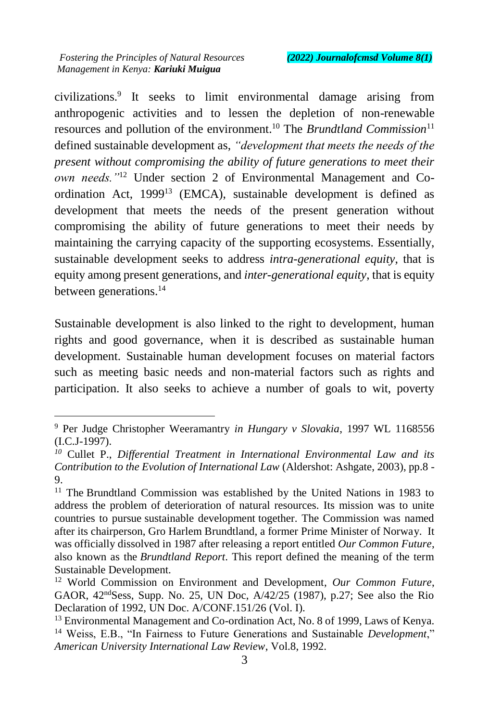$\overline{a}$ 

civilizations.<sup>9</sup> It seeks to limit environmental damage arising from anthropogenic activities and to lessen the depletion of non-renewable resources and pollution of the environment.<sup>10</sup> The *Brundtland Commission*<sup>11</sup> defined sustainable development as, *"development that meets the needs of the present without compromising the ability of future generations to meet their own needs."*<sup>12</sup> Under section 2 of Environmental Management and Coordination Act, 1999<sup>13</sup> (EMCA), sustainable development is defined as development that meets the needs of the present generation without compromising the ability of future generations to meet their needs by maintaining the carrying capacity of the supporting ecosystems. Essentially, sustainable development seeks to address *intra-generational equity*, that is equity among present generations, and *inter-generational equity*, that is equity between generations.<sup>14</sup>

Sustainable development is also linked to the right to development, human rights and good governance, when it is described as sustainable human development. Sustainable human development focuses on material factors such as meeting basic needs and non-material factors such as rights and participation. It also seeks to achieve a number of goals to wit, poverty

<sup>9</sup> Per Judge Christopher Weeramantry *in Hungary v Slovakia*, 1997 WL 1168556 (I.C.J-1997).

*<sup>10</sup>* Cullet P., *Differential Treatment in International Environmental Law and its Contribution to the Evolution of International Law* (Aldershot: Ashgate, 2003), pp.8 - 9.

<sup>&</sup>lt;sup>11</sup> The Brundtland Commission was established by the United Nations in 1983 to address the problem of deterioration of natural resources. Its mission was to unite countries to pursue sustainable development together. The Commission was named after its chairperson, Gro Harlem Brundtland, a former Prime Minister of Norway. It was officially dissolved in 1987 after releasing a report entitled *Our Common Future*, also known as the *Brundtland Report*. This report defined the meaning of the term Sustainable Development.

<sup>12</sup> World Commission on Environment and Development, *Our Common Future*, GAOR, 42ndSess, Supp. No. 25, UN Doc, A/42/25 (1987), p.27; See also the Rio Declaration of 1992, UN Doc. A/CONF.151/26 (Vol. I).

<sup>&</sup>lt;sup>13</sup> Environmental Management and Co-ordination Act, No. 8 of 1999, Laws of Kenya. <sup>14</sup> Weiss, E.B., "In Fairness to Future Generations and Sustainable *Development*," *American University International Law Review*, Vol.8, 1992.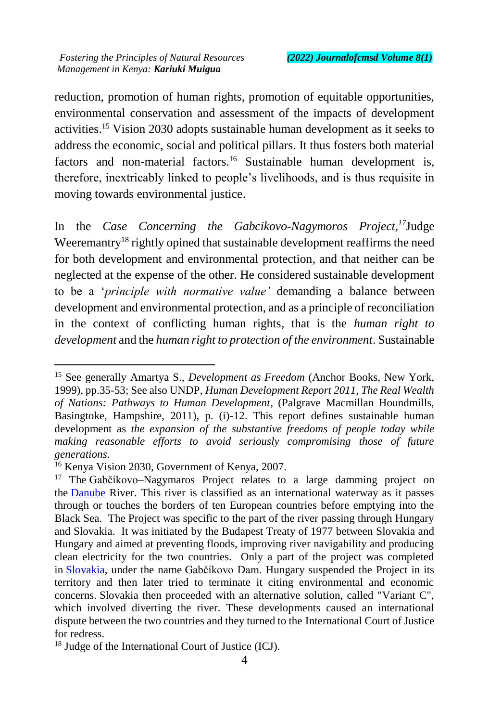reduction, promotion of human rights, promotion of equitable opportunities, environmental conservation and assessment of the impacts of development activities.<sup>15</sup> Vision 2030 adopts sustainable human development as it seeks to address the economic, social and political pillars. It thus fosters both material factors and non-material factors.<sup>16</sup> Sustainable human development is, therefore, inextricably linked to people's livelihoods, and is thus requisite in moving towards environmental justice.

In the *Case Concerning the Gabcikovo-Nagymoros Project,<sup>17</sup>*Judge Weeremantry<sup>18</sup> rightly opined that sustainable development reaffirms the need for both development and environmental protection, and that neither can be neglected at the expense of the other. He considered sustainable development to be a '*principle with normative value'* demanding a balance between development and environmental protection, and as a principle of reconciliation in the context of conflicting human rights, that is the *human right to development* and the *human right to protection of the environment*. Sustainable

 $\ddot{\phantom{a}}$ 

<sup>15</sup> See generally Amartya S., *Development as Freedom* (Anchor Books, New York, 1999), pp.35-53; See also UNDP, *Human Development Report 2011, The Real Wealth of Nations: Pathways to Human Development*, (Palgrave Macmillan Houndmills, Basingtoke, Hampshire, 2011), p. (i)-12. This report defines sustainable human development as *the expansion of the substantive freedoms of people today while making reasonable efforts to avoid seriously compromising those of future generations*.

<sup>&</sup>lt;sup>16</sup> Kenya Vision 2030, Government of Kenya, 2007.

<sup>&</sup>lt;sup>17</sup> The Gabčíkovo–Nagymaros Project relates to a large damming project on the Danube River. This river is classified as an international waterway as it passes through or touches the borders of ten European countries before emptying into the Black Sea. The Project was specific to the part of the river passing through Hungary and Slovakia. It was initiated by the Budapest Treaty of 1977 between Slovakia and Hungary and aimed at preventing floods, improving river navigability and producing clean electricity for the two countries. Only a part of the project was completed in Slovakia, under the name Gabčíkovo Dam. Hungary suspended the Project in its territory and then later tried to terminate it citing environmental and economic concerns. Slovakia then proceeded with an alternative solution, called "Variant C", which involved diverting the river. These developments caused an international dispute between the two countries and they turned to the International Court of Justice for redress.

<sup>18</sup> Judge of the International Court of Justice (ICJ).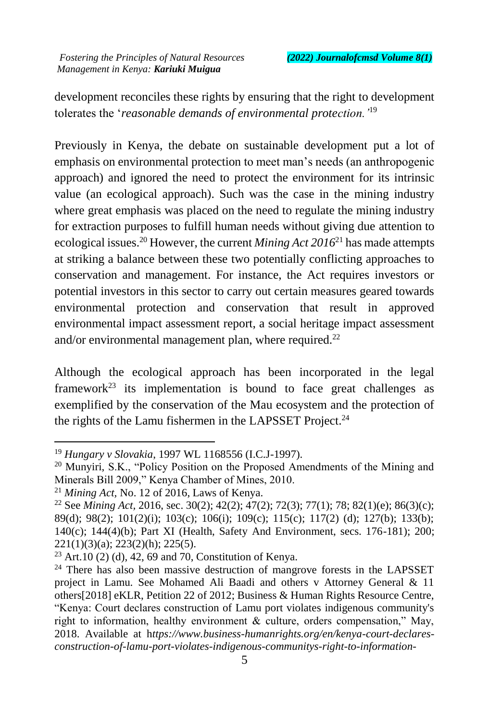development reconciles these rights by ensuring that the right to development tolerates the '*reasonable demands of environmental protection.'*<sup>19</sup>

Previously in Kenya, the debate on sustainable development put a lot of emphasis on environmental protection to meet man's needs (an anthropogenic approach) and ignored the need to protect the environment for its intrinsic value (an ecological approach). Such was the case in the mining industry where great emphasis was placed on the need to regulate the mining industry for extraction purposes to fulfill human needs without giving due attention to ecological issues.<sup>20</sup> However, the current *Mining Act 2016*<sup>21</sup> has made attempts at striking a balance between these two potentially conflicting approaches to conservation and management. For instance, the Act requires investors or potential investors in this sector to carry out certain measures geared towards environmental protection and conservation that result in approved environmental impact assessment report, a social heritage impact assessment and/or environmental management plan, where required.<sup>22</sup>

Although the ecological approach has been incorporated in the legal framework<sup>23</sup> its implementation is bound to face great challenges as exemplified by the conservation of the Mau ecosystem and the protection of the rights of the Lamu fishermen in the LAPSSET Project.<sup>24</sup>

 $\ddot{\phantom{a}}$ 

<sup>19</sup> *Hungary v Slovakia*, 1997 WL 1168556 (I.C.J-1997).

<sup>&</sup>lt;sup>20</sup> Munyiri, S.K., "Policy Position on the Proposed Amendments of the Mining and Minerals Bill 2009," Kenya Chamber of Mines, 2010.

<sup>21</sup> *Mining Act,* No. 12 of 2016, Laws of Kenya.

<sup>22</sup> See *Mining Act,* 2016, sec. 30(2); 42(2); 47(2); 72(3); 77(1); 78; 82(1)(e); 86(3)(c); 89(d); 98(2); 101(2)(i); 103(c); 106(i); 109(c); 115(c); 117(2) (d); 127(b); 133(b); 140(c); 144(4)(b); Part XI (Health, Safety And Environment, secs. 176-181); 200; 221(1)(3)(a); 223(2)(h); 225(5).

<sup>&</sup>lt;sup>23</sup> Art.10 (2) (d), 42, 69 and 70, Constitution of Kenya.

 $24$  There has also been massive destruction of mangrove forests in the LAPSSET project in Lamu. See Mohamed Ali Baadi and others v Attorney General & 11 others[2018] eKLR, Petition 22 of 2012; Business & Human Rights Resource Centre, "Kenya: Court declares construction of Lamu port violates indigenous community's right to information, healthy environment & culture, orders compensation," May, 2018. Available at h*ttps://www.business-humanrights.org/en/kenya-court-declaresconstruction-of-lamu-port-violates-indigenous-communitys-right-to-information-*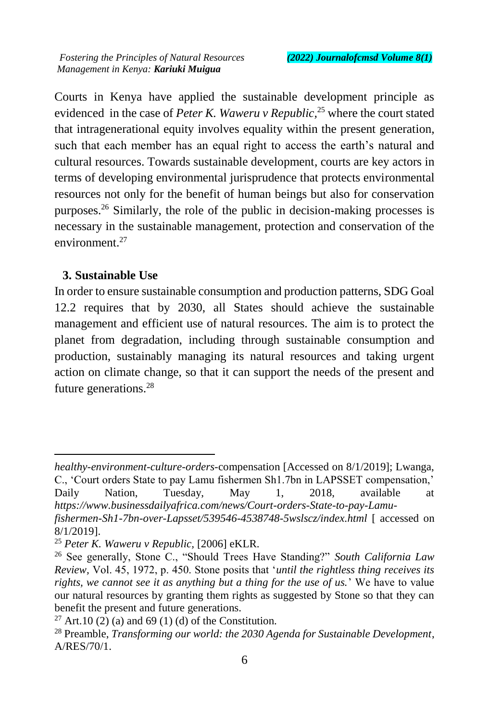Courts in Kenya have applied the sustainable development principle as evidenced in the case of *Peter K. Waweru v Republic*<sup>25</sup> where the court stated that intragenerational equity involves equality within the present generation, such that each member has an equal right to access the earth's natural and cultural resources. Towards sustainable development, courts are key actors in terms of developing environmental jurisprudence that protects environmental resources not only for the benefit of human beings but also for conservation purposes.<sup>26</sup> Similarly, the role of the public in decision-making processes is necessary in the sustainable management, protection and conservation of the environment $27$ 

#### **3. Sustainable Use**

 $\overline{a}$ 

In order to ensure sustainable consumption and production patterns, SDG Goal 12.2 requires that by 2030, all States should achieve the sustainable management and efficient use of natural resources. The aim is to protect the planet from degradation, including through sustainable consumption and production, sustainably managing its natural resources and taking urgent action on climate change, so that it can support the needs of the present and future generations.<sup>28</sup>

*healthy-environment-culture-orders-*compensation [Accessed on 8/1/2019]; Lwanga, C., 'Court orders State to pay Lamu fishermen Sh1.7bn in LAPSSET compensation,' Daily Nation, Tuesday, May 1, 2018, available at *https://www.businessdailyafrica.com/news/Court-orders-State-to-pay-Lamu-*

*fishermen-Sh1-7bn-over-Lapsset/539546-4538748-5wslscz/index.html* [ accessed on 8/1/2019].

<sup>25</sup> *Peter K. Waweru v Republic,* [2006] eKLR.

<sup>&</sup>lt;sup>26</sup> See generally, Stone C., "Should Trees Have Standing?" *South California Law Review,* Vol. 45, 1972, p. 450. Stone posits that '*until the rightless thing receives its rights, we cannot see it as anything but a thing for the use of us.*' We have to value our natural resources by granting them rights as suggested by Stone so that they can benefit the present and future generations.

<sup>&</sup>lt;sup>27</sup> Art.10 (2) (a) and 69 (1) (d) of the Constitution.

<sup>28</sup> Preamble, *Transforming our world: the 2030 Agenda for Sustainable Development*, A/RES/70/1.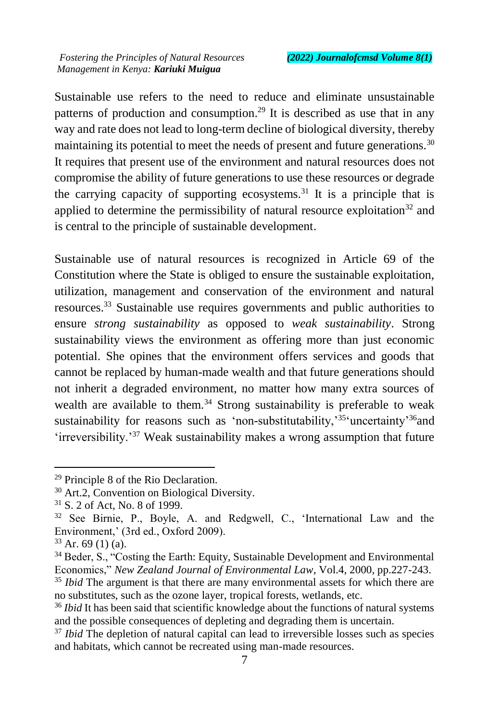Sustainable use refers to the need to reduce and eliminate unsustainable patterns of production and consumption.<sup>29</sup> It is described as use that in any way and rate does not lead to long-term decline of biological diversity, thereby maintaining its potential to meet the needs of present and future generations.<sup>30</sup> It requires that present use of the environment and natural resources does not compromise the ability of future generations to use these resources or degrade the carrying capacity of supporting ecosystems.<sup>31</sup> It is a principle that is applied to determine the permissibility of natural resource exploitation<sup>32</sup> and is central to the principle of sustainable development.

Sustainable use of natural resources is recognized in Article 69 of the Constitution where the State is obliged to ensure the sustainable exploitation, utilization, management and conservation of the environment and natural resources.<sup>33</sup> Sustainable use requires governments and public authorities to ensure *strong sustainability* as opposed to *weak sustainability*. Strong sustainability views the environment as offering more than just economic potential. She opines that the environment offers services and goods that cannot be replaced by human-made wealth and that future generations should not inherit a degraded environment, no matter how many extra sources of wealth are available to them.<sup>34</sup> Strong sustainability is preferable to weak sustainability for reasons such as 'non-substitutability,'<sup>35</sup>'uncertainty'<sup>36</sup>and 'irreversibility.'<sup>37</sup> Weak sustainability makes a wrong assumption that future

 $\overline{a}$ 

no substitutes, such as the ozone layer, tropical forests, wetlands, etc.

<sup>29</sup> Principle 8 of the Rio Declaration.

<sup>30</sup> Art.2, Convention on Biological Diversity.

<sup>31</sup> S. 2 of Act, No. 8 of 1999.

<sup>32</sup> See Birnie, P., Boyle, A. and Redgwell, C., 'International Law and the Environment,' (3rd ed., Oxford 2009).

 $33$  Ar. 69 (1) (a).

<sup>&</sup>lt;sup>34</sup> Beder, S., "Costing the Earth: Equity, Sustainable Development and Environmental Economics," *New Zealand Journal of Environmental Law*, Vol.4, 2000, pp.227-243. <sup>35</sup> *Ibid* The argument is that there are many environmental assets for which there are

<sup>&</sup>lt;sup>36</sup> *Ibid* It has been said that scientific knowledge about the functions of natural systems and the possible consequences of depleting and degrading them is uncertain.

<sup>&</sup>lt;sup>37</sup> *Ibid* The depletion of natural capital can lead to irreversible losses such as species and habitats, which cannot be recreated using man-made resources.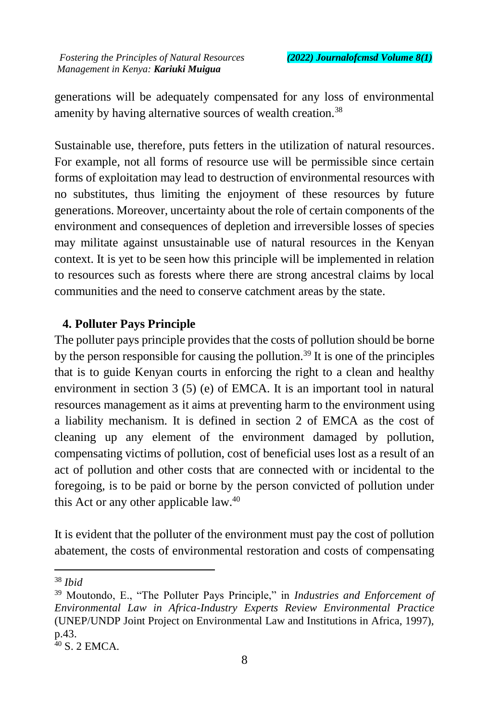generations will be adequately compensated for any loss of environmental amenity by having alternative sources of wealth creation.<sup>38</sup>

Sustainable use, therefore, puts fetters in the utilization of natural resources. For example, not all forms of resource use will be permissible since certain forms of exploitation may lead to destruction of environmental resources with no substitutes, thus limiting the enjoyment of these resources by future generations. Moreover, uncertainty about the role of certain components of the environment and consequences of depletion and irreversible losses of species may militate against unsustainable use of natural resources in the Kenyan context. It is yet to be seen how this principle will be implemented in relation to resources such as forests where there are strong ancestral claims by local communities and the need to conserve catchment areas by the state.

### **4. Polluter Pays Principle**

The polluter pays principle provides that the costs of pollution should be borne by the person responsible for causing the pollution.<sup>39</sup> It is one of the principles that is to guide Kenyan courts in enforcing the right to a clean and healthy environment in section 3 (5) (e) of EMCA. It is an important tool in natural resources management as it aims at preventing harm to the environment using a liability mechanism. It is defined in section 2 of EMCA as the cost of cleaning up any element of the environment damaged by pollution, compensating victims of pollution, cost of beneficial uses lost as a result of an act of pollution and other costs that are connected with or incidental to the foregoing, is to be paid or borne by the person convicted of pollution under this Act or any other applicable law.<sup>40</sup>

It is evident that the polluter of the environment must pay the cost of pollution abatement, the costs of environmental restoration and costs of compensating

<sup>38</sup> *Ibid*

<sup>39</sup> Moutondo, E., "The Polluter Pays Principle," in *Industries and Enforcement of Environmental Law in Africa-Industry Experts Review Environmental Practice*  (UNEP/UNDP Joint Project on Environmental Law and Institutions in Africa, 1997), p.43.

 $40$  S. 2 EMCA.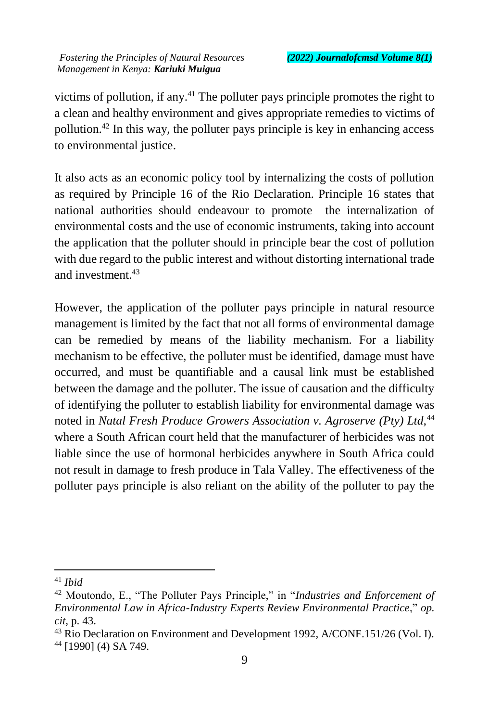victims of pollution, if any.<sup>41</sup> The polluter pays principle promotes the right to a clean and healthy environment and gives appropriate remedies to victims of pollution.<sup>42</sup> In this way, the polluter pays principle is key in enhancing access to environmental justice.

It also acts as an economic policy tool by internalizing the costs of pollution as required by Principle 16 of the Rio Declaration. Principle 16 states that national authorities should endeavour to promote the internalization of environmental costs and the use of economic instruments, taking into account the application that the polluter should in principle bear the cost of pollution with due regard to the public interest and without distorting international trade and investment.<sup>43</sup>

However, the application of the polluter pays principle in natural resource management is limited by the fact that not all forms of environmental damage can be remedied by means of the liability mechanism. For a liability mechanism to be effective, the polluter must be identified, damage must have occurred, and must be quantifiable and a causal link must be established between the damage and the polluter. The issue of causation and the difficulty of identifying the polluter to establish liability for environmental damage was noted in *Natal Fresh Produce Growers Association v. Agroserve (Pty) Ltd,*<sup>44</sup> where a South African court held that the manufacturer of herbicides was not liable since the use of hormonal herbicides anywhere in South Africa could not result in damage to fresh produce in Tala Valley. The effectiveness of the polluter pays principle is also reliant on the ability of the polluter to pay the

<sup>41</sup> *Ibid*

<sup>42</sup> Moutondo, E., "The Polluter Pays Principle," in "*Industries and Enforcement of Environmental Law in Africa-Industry Experts Review Environmental Practice*," *op. cit*, p. 43.

<sup>43</sup> Rio Declaration on Environment and Development 1992, A/CONF.151/26 (Vol. I). <sup>44</sup> [1990] (4) SA 749.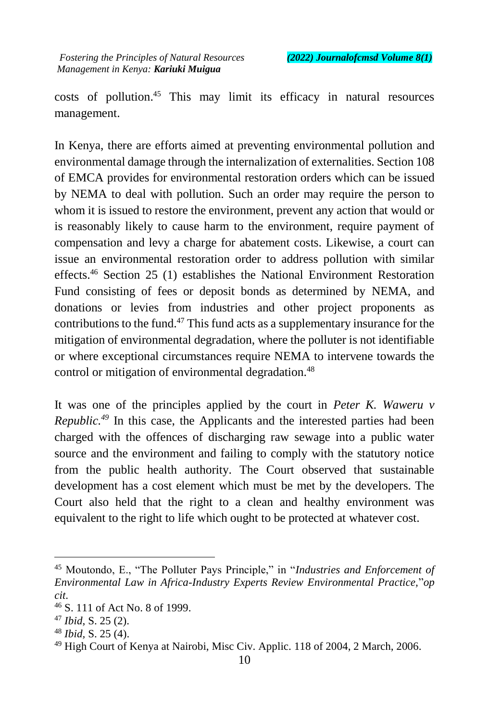costs of pollution. <sup>45</sup> This may limit its efficacy in natural resources management.

In Kenya, there are efforts aimed at preventing environmental pollution and environmental damage through the internalization of externalities. Section 108 of EMCA provides for environmental restoration orders which can be issued by NEMA to deal with pollution. Such an order may require the person to whom it is issued to restore the environment, prevent any action that would or is reasonably likely to cause harm to the environment, require payment of compensation and levy a charge for abatement costs. Likewise, a court can issue an environmental restoration order to address pollution with similar effects.<sup>46</sup> Section 25 (1) establishes the National Environment Restoration Fund consisting of fees or deposit bonds as determined by NEMA, and donations or levies from industries and other project proponents as contributions to the fund.<sup>47</sup> This fund acts as a supplementary insurance for the mitigation of environmental degradation, where the polluter is not identifiable or where exceptional circumstances require NEMA to intervene towards the control or mitigation of environmental degradation.<sup>48</sup>

It was one of the principles applied by the court in *Peter K. Waweru v Republic.<sup>49</sup>* In this case, the Applicants and the interested parties had been charged with the offences of discharging raw sewage into a public water source and the environment and failing to comply with the statutory notice from the public health authority. The Court observed that sustainable development has a cost element which must be met by the developers. The Court also held that the right to a clean and healthy environment was equivalent to the right to life which ought to be protected at whatever cost.

 $\ddot{\phantom{a}}$ 

<sup>48</sup> *Ibid,* S. 25 (4).

<sup>45</sup> Moutondo, E., "The Polluter Pays Principle," in "*Industries and Enforcement of Environmental Law in Africa-Industry Experts Review Environmental Practice,*"*op cit*.

<sup>46</sup> S. 111 of Act No. 8 of 1999.

<sup>47</sup> *Ibid*, S. 25 (2).

<sup>49</sup> High Court of Kenya at Nairobi, Misc Civ. Applic. 118 of 2004, 2 March, 2006.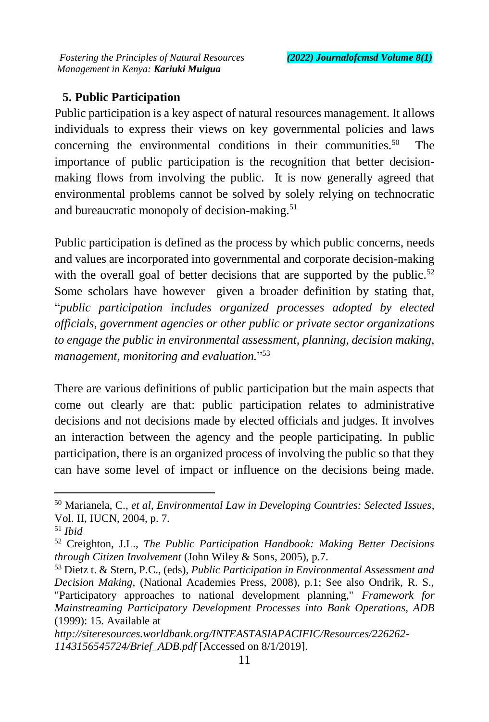# **5. Public Participation**

Public participation is a key aspect of natural resources management. It allows individuals to express their views on key governmental policies and laws concerning the environmental conditions in their communities.<sup>50</sup> The importance of public participation is the recognition that better decisionmaking flows from involving the public. It is now generally agreed that environmental problems cannot be solved by solely relying on technocratic and bureaucratic monopoly of decision-making. $51$ 

Public participation is defined as the process by which public concerns, needs and values are incorporated into governmental and corporate decision-making with the overall goal of better decisions that are supported by the public.<sup>52</sup> Some scholars have however given a broader definition by stating that, "*public participation includes organized processes adopted by elected officials, government agencies or other public or private sector organizations to engage the public in environmental assessment, planning, decision making, management, monitoring and evaluation.*" 53

There are various definitions of public participation but the main aspects that come out clearly are that: public participation relates to administrative decisions and not decisions made by elected officials and judges. It involves an interaction between the agency and the people participating. In public participation, there is an organized process of involving the public so that they can have some level of impact or influence on the decisions being made.

<sup>50</sup> Marianela, C., *et al*, *Environmental Law in Developing Countries: Selected Issues*, Vol. II, IUCN, 2004, p. 7.

<sup>51</sup> *Ibid*

<sup>52</sup> Creighton, J.L., *The Public Participation Handbook: Making Better Decisions through Citizen Involvement* (John Wiley & Sons, 2005), p.7.

<sup>53</sup> Dietz t. & Stern, P.C., (eds), *Public Participation in Environmental Assessment and Decision Making,* (National Academies Press, 2008), p.1; See also Ondrik, R. S., "Participatory approaches to national development planning," *Framework for Mainstreaming Participatory Development Processes into Bank Operations, ADB* (1999): 15. Available at

*http://siteresources.worldbank.org/INTEASTASIAPACIFIC/Resources/226262- 1143156545724/Brief\_ADB.pdf* [Accessed on 8/1/2019].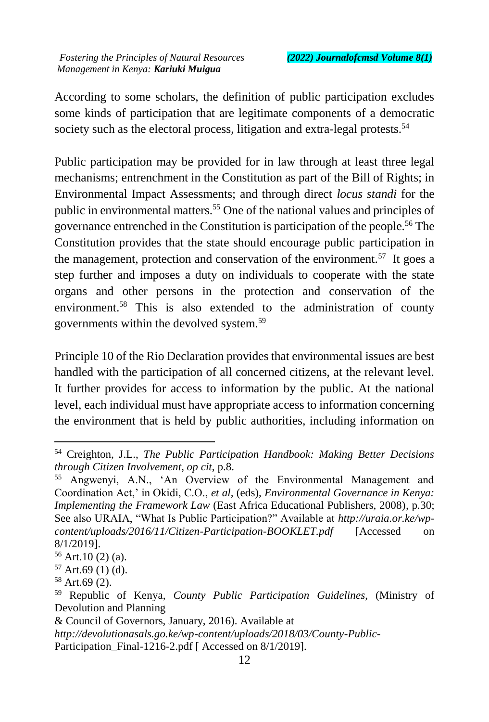According to some scholars, the definition of public participation excludes some kinds of participation that are legitimate components of a democratic society such as the electoral process, litigation and extra-legal protests.<sup>54</sup>

Public participation may be provided for in law through at least three legal mechanisms; entrenchment in the Constitution as part of the Bill of Rights; in Environmental Impact Assessments; and through direct *locus standi* for the public in environmental matters.<sup>55</sup> One of the national values and principles of governance entrenched in the Constitution is participation of the people.<sup>56</sup> The Constitution provides that the state should encourage public participation in the management, protection and conservation of the environment.<sup>57</sup> It goes a step further and imposes a duty on individuals to cooperate with the state organs and other persons in the protection and conservation of the environment.<sup>58</sup> This is also extended to the administration of county governments within the devolved system.<sup>59</sup>

Principle 10 of the Rio Declaration provides that environmental issues are best handled with the participation of all concerned citizens, at the relevant level. It further provides for access to information by the public. At the national level, each individual must have appropriate access to information concerning the environment that is held by public authorities, including information on

 $\ddot{\phantom{a}}$ 

<sup>54</sup> Creighton, J.L., *The Public Participation Handbook: Making Better Decisions through Citizen Involvement*, *op cit*, p.8.

<sup>55</sup> Angwenyi, A.N., 'An Overview of the Environmental Management and Coordination Act,' in Okidi, C.O., *et al,* (eds), *Environmental Governance in Kenya: Implementing the Framework Law* (East Africa Educational Publishers, 2008)*,* p*.*30; See also URAIA, "What Is Public Participation?" Available at *http://uraia.or.ke/wpcontent/uploads/2016/11/Citizen-Participation-BOOKLET.pdf* [Accessed on 8/1/2019].

 $56$  Art.10 (2) (a).

 $57$  Art.69 (1) (d).

<sup>58</sup> Art.69 (2).

<sup>59</sup> Republic of Kenya, *County Public Participation Guidelines*, (Ministry of Devolution and Planning

<sup>&</sup>amp; Council of Governors, January, 2016). Available at

*http://devolutionasals.go.ke/wp-content/uploads/2018/03/County-Public-*Participation Final-1216-2.pdf [ Accessed on 8/1/2019].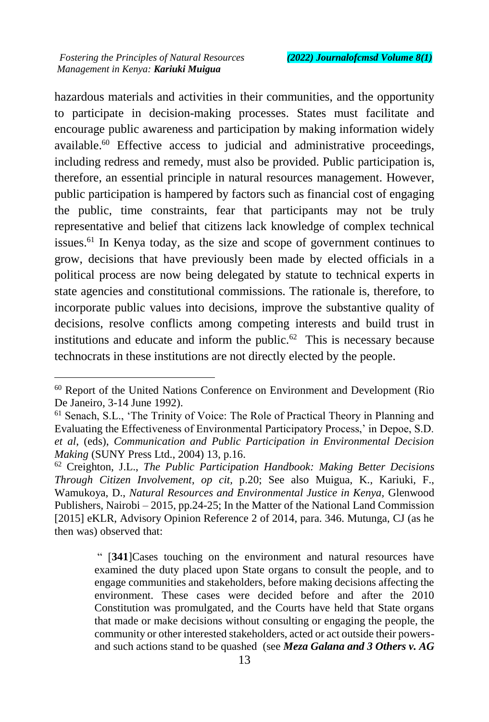$\overline{a}$ 

hazardous materials and activities in their communities, and the opportunity to participate in decision-making processes. States must facilitate and encourage public awareness and participation by making information widely available.<sup>60</sup> Effective access to judicial and administrative proceedings, including redress and remedy, must also be provided. Public participation is, therefore, an essential principle in natural resources management. However, public participation is hampered by factors such as financial cost of engaging the public, time constraints, fear that participants may not be truly representative and belief that citizens lack knowledge of complex technical issues.<sup>61</sup> In Kenya today, as the size and scope of government continues to grow, decisions that have previously been made by elected officials in a political process are now being delegated by statute to technical experts in state agencies and constitutional commissions. The rationale is, therefore, to incorporate public values into decisions, improve the substantive quality of decisions, resolve conflicts among competing interests and build trust in institutions and educate and inform the public.<sup>62</sup> This is necessary because technocrats in these institutions are not directly elected by the people.

" [**341**]Cases touching on the environment and natural resources have examined the duty placed upon State organs to consult the people, and to engage communities and stakeholders, before making decisions affecting the environment. These cases were decided before and after the 2010 Constitution was promulgated, and the Courts have held that State organs that made or make decisions without consulting or engaging the people, the community or other interested stakeholders, acted or act outside their powersand such actions stand to be quashed (see *Meza Galana and 3 Others v. AG* 

<sup>60</sup> Report of the United Nations Conference on Environment and Development (Rio De Janeiro, 3-14 June 1992).

<sup>61</sup> Senach, S.L., 'The Trinity of Voice: The Role of Practical Theory in Planning and Evaluating the Effectiveness of Environmental Participatory Process,' in Depoe, S.D. *et al*, (eds), *Communication and Public Participation in Environmental Decision Making* (SUNY Press Ltd., 2004) 13, p.16.

<sup>62</sup> Creighton, J.L., *The Public Participation Handbook: Making Better Decisions Through Citizen Involvement*, *op cit,* p.20; See also Muigua, K., Kariuki, F., Wamukoya, D., *Natural Resources and Environmental Justice in Kenya,* Glenwood Publishers, Nairobi – 2015, pp.24-25; In the Matter of the National Land Commission [2015] eKLR, Advisory Opinion Reference 2 of 2014, para. 346. Mutunga, CJ (as he then was) observed that: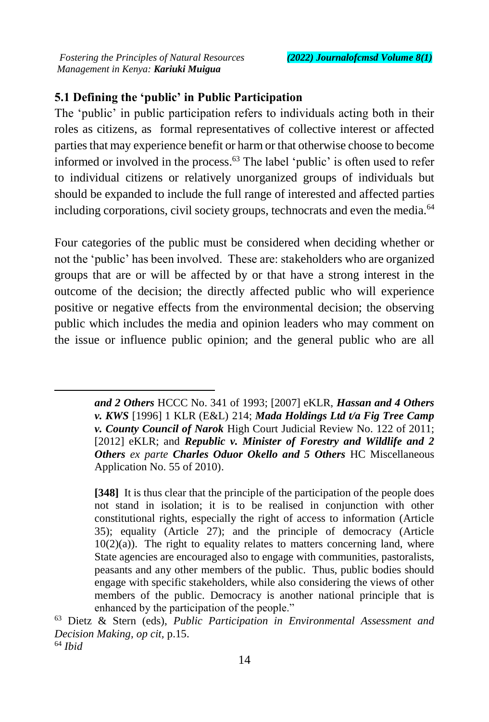$\overline{a}$ 

# **5.1 Defining the 'public' in Public Participation**

The 'public' in public participation refers to individuals acting both in their roles as citizens, as formal representatives of collective interest or affected parties that may experience benefit or harm or that otherwise choose to become informed or involved in the process.<sup>63</sup> The label 'public' is often used to refer to individual citizens or relatively unorganized groups of individuals but should be expanded to include the full range of interested and affected parties including corporations, civil society groups, technocrats and even the media.<sup>64</sup>

Four categories of the public must be considered when deciding whether or not the 'public' has been involved. These are: stakeholders who are organized groups that are or will be affected by or that have a strong interest in the outcome of the decision; the directly affected public who will experience positive or negative effects from the environmental decision; the observing public which includes the media and opinion leaders who may comment on the issue or influence public opinion; and the general public who are all

> *and 2 Others* HCCC No. 341 of 1993; [2007] eKLR, *Hassan and 4 Others v. KWS* [1996] 1 KLR (E&L) 214; *Mada Holdings Ltd t/a Fig Tree Camp v. County Council of Narok* High Court Judicial Review No. 122 of 2011; [2012] eKLR; and *Republic v. Minister of Forestry and Wildlife and 2 Others ex parte Charles Oduor Okello and 5 Others* HC Miscellaneous Application No. 55 of 2010).

> **[348]** It is thus clear that the principle of the participation of the people does not stand in isolation; it is to be realised in conjunction with other constitutional rights, especially the right of access to information (Article 35); equality (Article 27); and the principle of democracy (Article  $10(2)(a)$ ). The right to equality relates to matters concerning land, where State agencies are encouraged also to engage with communities, pastoralists, peasants and any other members of the public. Thus, public bodies should engage with specific stakeholders, while also considering the views of other members of the public. Democracy is another national principle that is enhanced by the participation of the people."

<sup>63</sup> Dietz & Stern (eds), *Public Participation in Environmental Assessment and Decision Making, op cit,* p.15. <sup>64</sup> *Ibid*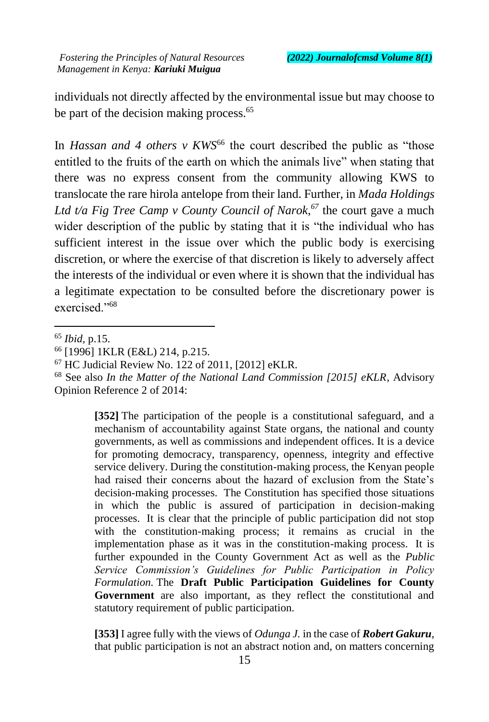individuals not directly affected by the environmental issue but may choose to be part of the decision making process.<sup>65</sup>

In *Hassan and 4 others v KWS<sup>66</sup>* the court described the public as "those" entitled to the fruits of the earth on which the animals live" when stating that there was no express consent from the community allowing KWS to translocate the rare hirola antelope from their land. Further, in *Mada Holdings Ltd t/a Fig Tree Camp v County Council of Narok,<sup>67</sup>* the court gave a much wider description of the public by stating that it is "the individual who has sufficient interest in the issue over which the public body is exercising discretion, or where the exercise of that discretion is likely to adversely affect the interests of the individual or even where it is shown that the individual has a legitimate expectation to be consulted before the discretionary power is exercised."<sup>68</sup>

 $\ddot{\phantom{a}}$ 

**[352]** The participation of the people is a constitutional safeguard, and a mechanism of accountability against State organs, the national and county governments, as well as commissions and independent offices. It is a device for promoting democracy, transparency, openness, integrity and effective service delivery. During the constitution-making process, the Kenyan people had raised their concerns about the hazard of exclusion from the State's decision-making processes. The Constitution has specified those situations in which the public is assured of participation in decision-making processes. It is clear that the principle of public participation did not stop with the constitution-making process; it remains as crucial in the implementation phase as it was in the constitution-making process. It is further expounded in the County Government Act as well as the *Public Service Commission's Guidelines for Public Participation in Policy Formulation.* The **Draft Public Participation Guidelines for County Government** are also important, as they reflect the constitutional and statutory requirement of public participation.

**[353]** I agree fully with the views of *Odunga J.* in the case of *Robert Gakuru*, that public participation is not an abstract notion and, on matters concerning

<sup>65</sup> *Ibid,* p.15.

<sup>66</sup> [1996] 1KLR (E&L) 214, p.215.

<sup>67</sup> HC Judicial Review No. 122 of 2011, [2012] eKLR.

<sup>68</sup> See also *In the Matter of the National Land Commission [2015] eKLR*, Advisory Opinion Reference 2 of 2014: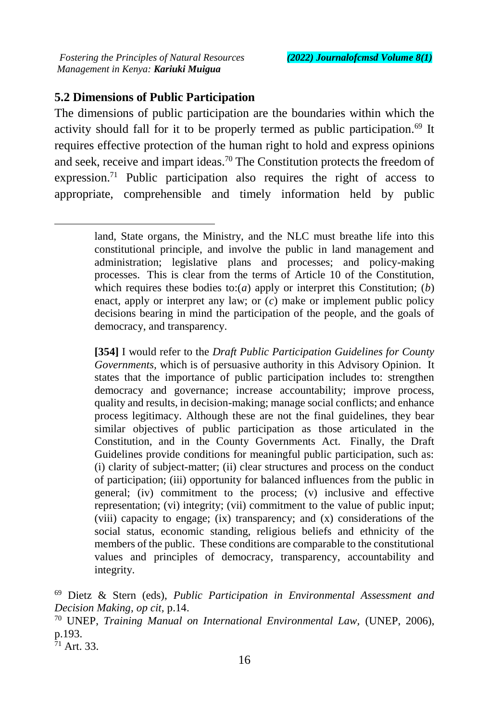## **5.2 Dimensions of Public Participation**

The dimensions of public participation are the boundaries within which the activity should fall for it to be properly termed as public participation.<sup>69</sup> It requires effective protection of the human right to hold and express opinions and seek, receive and impart ideas.<sup>70</sup> The Constitution protects the freedom of expression.<sup>71</sup> Public participation also requires the right of access to appropriate, comprehensible and timely information held by public

**[354]** I would refer to the *Draft Public Participation Guidelines for County Governments,* which is of persuasive authority in this Advisory Opinion. It states that the importance of public participation includes to: strengthen democracy and governance; increase accountability; improve process, quality and results, in decision-making; manage social conflicts; and enhance process legitimacy. Although these are not the final guidelines, they bear similar objectives of public participation as those articulated in the Constitution, and in the County Governments Act. Finally, the Draft Guidelines provide conditions for meaningful public participation, such as: (i) clarity of subject-matter; (ii) clear structures and process on the conduct of participation; (iii) opportunity for balanced influences from the public in general; (iv) commitment to the process; (v) inclusive and effective representation; (vi) integrity; (vii) commitment to the value of public input; (viii) capacity to engage; (ix) transparency; and (x) considerations of the social status, economic standing, religious beliefs and ethnicity of the members of the public. These conditions are comparable to the constitutional values and principles of democracy, transparency, accountability and integrity.

land, State organs, the Ministry, and the NLC must breathe life into this constitutional principle, and involve the public in land management and administration; legislative plans and processes; and policy-making processes. This is clear from the terms of Article 10 of the Constitution, which requires these bodies to:(*a*) apply or interpret this Constitution; (*b*) enact, apply or interpret any law; or (*c*) make or implement public policy decisions bearing in mind the participation of the people, and the goals of democracy, and transparency.

<sup>69</sup> Dietz & Stern (eds), *Public Participation in Environmental Assessment and Decision Making, op cit,* p.14.

<sup>70</sup> UNEP, *Training Manual on International Environmental Law,* (UNEP, 2006), p.193.

 $71$  Art. 33.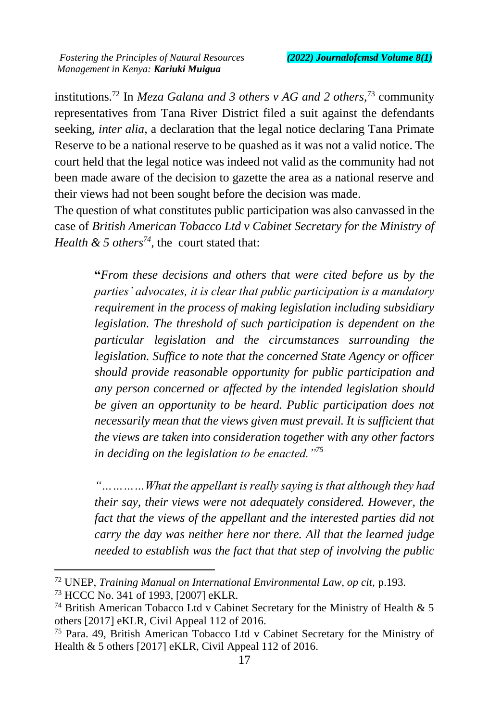institutions.<sup>72</sup> In *Meza Galana and 3 others v AG and 2 others,*<sup>73</sup> community representatives from Tana River District filed a suit against the defendants seeking, *inter alia*, a declaration that the legal notice declaring Tana Primate Reserve to be a national reserve to be quashed as it was not a valid notice. The court held that the legal notice was indeed not valid as the community had not been made aware of the decision to gazette the area as a national reserve and their views had not been sought before the decision was made.

The question of what constitutes public participation was also canvassed in the case of *British American Tobacco Ltd v Cabinet Secretary for the Ministry of Health & 5 others<sup>74</sup>*, the court stated that:

> **"***From these decisions and others that were cited before us by the parties' advocates, it is clear that public participation is a mandatory requirement in the process of making legislation including subsidiary legislation. The threshold of such participation is dependent on the particular legislation and the circumstances surrounding the legislation. Suffice to note that the concerned State Agency or officer should provide reasonable opportunity for public participation and any person concerned or affected by the intended legislation should be given an opportunity to be heard. Public participation does not necessarily mean that the views given must prevail. It is sufficient that the views are taken into consideration together with any other factors in deciding on the legislation to be enacted."<sup>75</sup>*

> *"…………What the appellant is really saying is that although they had their say, their views were not adequately considered. However, the fact that the views of the appellant and the interested parties did not carry the day was neither here nor there. All that the learned judge needed to establish was the fact that that step of involving the public*

<sup>72</sup> UNEP, *Training Manual on International Environmental Law, op cit,* p.193.

<sup>73</sup> HCCC No. 341 of 1993, [2007] eKLR.

<sup>74</sup> British American Tobacco Ltd v Cabinet Secretary for the Ministry of Health & 5 others [2017] eKLR, Civil Appeal 112 of 2016.

<sup>75</sup> Para. 49, British American Tobacco Ltd v Cabinet Secretary for the Ministry of Health & 5 others [2017] eKLR, Civil Appeal 112 of 2016.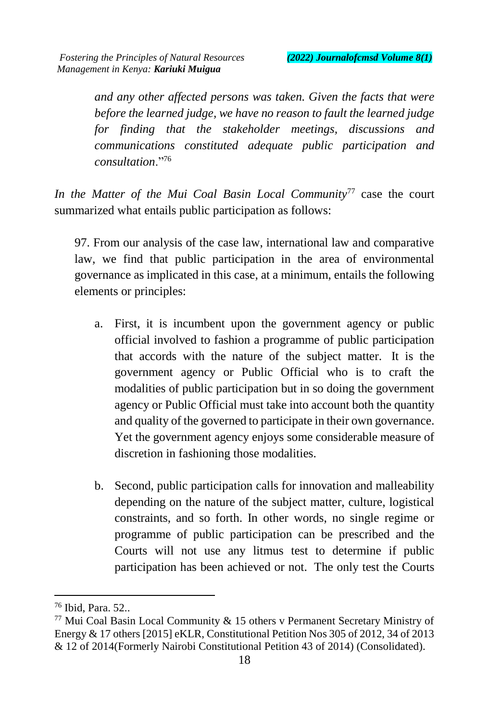*and any other affected persons was taken. Given the facts that were before the learned judge, we have no reason to fault the learned judge for finding that the stakeholder meetings, discussions and communications constituted adequate public participation and consultation*."<sup>76</sup>

*In the Matter of the Mui Coal Basin Local Community*<sup>77</sup> case the court summarized what entails public participation as follows:

97. From our analysis of the case law, international law and comparative law, we find that public participation in the area of environmental governance as implicated in this case, at a minimum, entails the following elements or principles:

- a. First, it is incumbent upon the government agency or public official involved to fashion a programme of public participation that accords with the nature of the subject matter. It is the government agency or Public Official who is to craft the modalities of public participation but in so doing the government agency or Public Official must take into account both the quantity and quality of the governed to participate in their own governance. Yet the government agency enjoys some considerable measure of discretion in fashioning those modalities.
- b. Second, public participation calls for innovation and malleability depending on the nature of the subject matter, culture, logistical constraints, and so forth. In other words, no single regime or programme of public participation can be prescribed and the Courts will not use any litmus test to determine if public participation has been achieved or not. The only test the Courts

<sup>76</sup> Ibid, Para. 52..

 $77$  Mui Coal Basin Local Community & 15 others v Permanent Secretary Ministry of Energy & 17 others [2015] eKLR, Constitutional Petition Nos 305 of 2012, 34 of 2013 & 12 of 2014(Formerly Nairobi Constitutional Petition 43 of 2014) (Consolidated).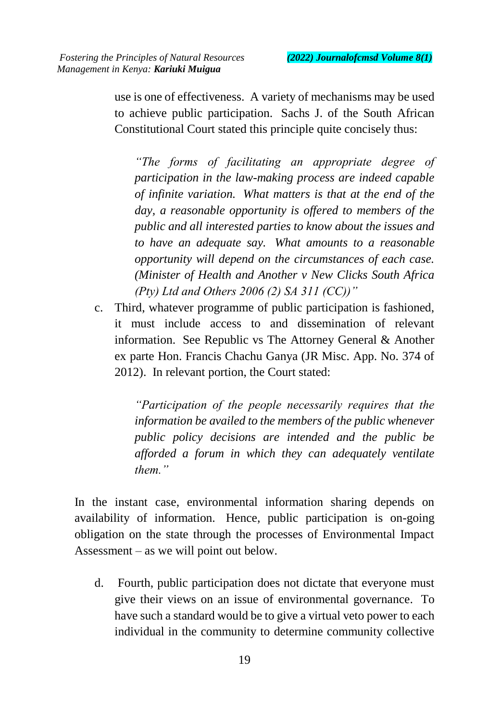use is one of effectiveness. A variety of mechanisms may be used to achieve public participation. Sachs J. of the South African Constitutional Court stated this principle quite concisely thus:

*"The forms of facilitating an appropriate degree of participation in the law-making process are indeed capable of infinite variation. What matters is that at the end of the day, a reasonable opportunity is offered to members of the public and all interested parties to know about the issues and to have an adequate say. What amounts to a reasonable opportunity will depend on the circumstances of each case. (Minister of Health and Another v New Clicks South Africa (Pty) Ltd and Others 2006 (2) SA 311 (CC))"*

c. Third, whatever programme of public participation is fashioned, it must include access to and dissemination of relevant information. See Republic vs The Attorney General & Another ex parte Hon. Francis Chachu Ganya (JR Misc. App. No. 374 of 2012). In relevant portion, the Court stated:

> *"Participation of the people necessarily requires that the information be availed to the members of the public whenever public policy decisions are intended and the public be afforded a forum in which they can adequately ventilate them."*

In the instant case, environmental information sharing depends on availability of information. Hence, public participation is on-going obligation on the state through the processes of Environmental Impact Assessment – as we will point out below.

d. Fourth, public participation does not dictate that everyone must give their views on an issue of environmental governance. To have such a standard would be to give a virtual veto power to each individual in the community to determine community collective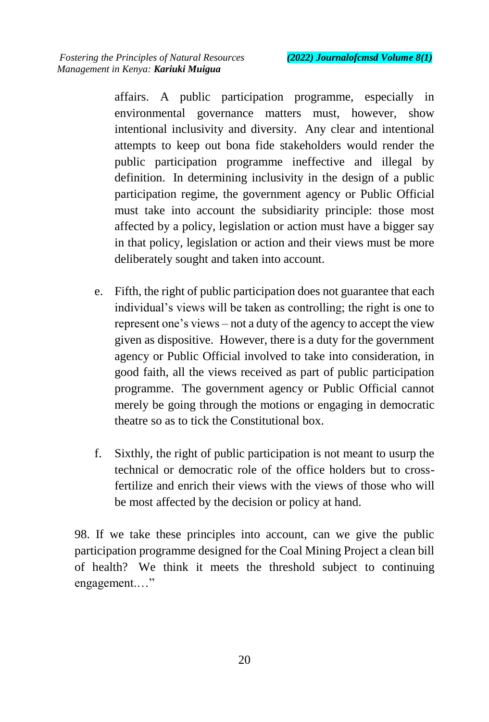affairs. A public participation programme, especially in environmental governance matters must, however, show intentional inclusivity and diversity. Any clear and intentional attempts to keep out bona fide stakeholders would render the public participation programme ineffective and illegal by definition. In determining inclusivity in the design of a public participation regime, the government agency or Public Official must take into account the subsidiarity principle: those most affected by a policy, legislation or action must have a bigger say in that policy, legislation or action and their views must be more deliberately sought and taken into account.

- e. Fifth, the right of public participation does not guarantee that each individual's views will be taken as controlling; the right is one to represent one's views – not a duty of the agency to accept the view given as dispositive. However, there is a duty for the government agency or Public Official involved to take into consideration, in good faith, all the views received as part of public participation programme. The government agency or Public Official cannot merely be going through the motions or engaging in democratic theatre so as to tick the Constitutional box.
- f. Sixthly, the right of public participation is not meant to usurp the technical or democratic role of the office holders but to crossfertilize and enrich their views with the views of those who will be most affected by the decision or policy at hand.

98. If we take these principles into account, can we give the public participation programme designed for the Coal Mining Project a clean bill of health? We think it meets the threshold subject to continuing engagement.…"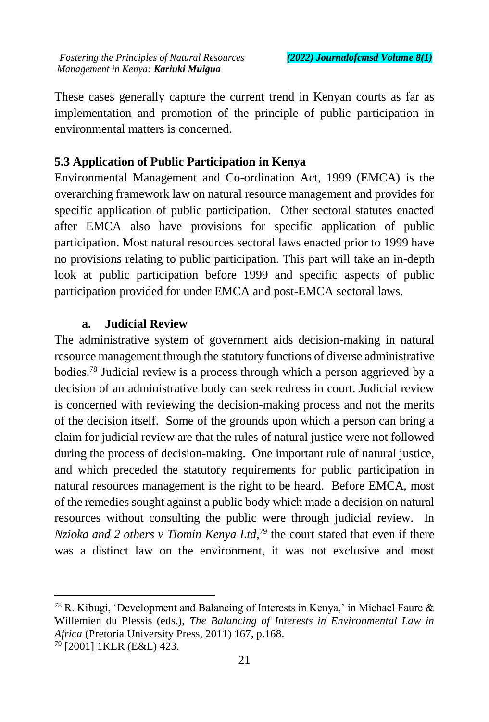These cases generally capture the current trend in Kenyan courts as far as implementation and promotion of the principle of public participation in environmental matters is concerned.

#### **5.3 Application of Public Participation in Kenya**

Environmental Management and Co-ordination Act, 1999 (EMCA) is the overarching framework law on natural resource management and provides for specific application of public participation. Other sectoral statutes enacted after EMCA also have provisions for specific application of public participation. Most natural resources sectoral laws enacted prior to 1999 have no provisions relating to public participation. This part will take an in-depth look at public participation before 1999 and specific aspects of public participation provided for under EMCA and post-EMCA sectoral laws.

#### **a. Judicial Review**

The administrative system of government aids decision-making in natural resource management through the statutory functions of diverse administrative bodies.<sup>78</sup> Judicial review is a process through which a person aggrieved by a decision of an administrative body can seek redress in court. Judicial review is concerned with reviewing the decision-making process and not the merits of the decision itself. Some of the grounds upon which a person can bring a claim for judicial review are that the rules of natural justice were not followed during the process of decision-making. One important rule of natural justice, and which preceded the statutory requirements for public participation in natural resources management is the right to be heard. Before EMCA, most of the remedies sought against a public body which made a decision on natural resources without consulting the public were through judicial review. In *Nzioka and 2 others v Tiomin Kenya Ltd*, <sup>79</sup> the court stated that even if there was a distinct law on the environment, it was not exclusive and most

<sup>&</sup>lt;sup>78</sup> R. Kibugi, 'Development and Balancing of Interests in Kenya,' in Michael Faure & Willemien du Plessis (eds.), *The Balancing of Interests in Environmental Law in Africa* (Pretoria University Press, 2011) 167, p.168.

<sup>79</sup> [2001] 1KLR (E&L) 423.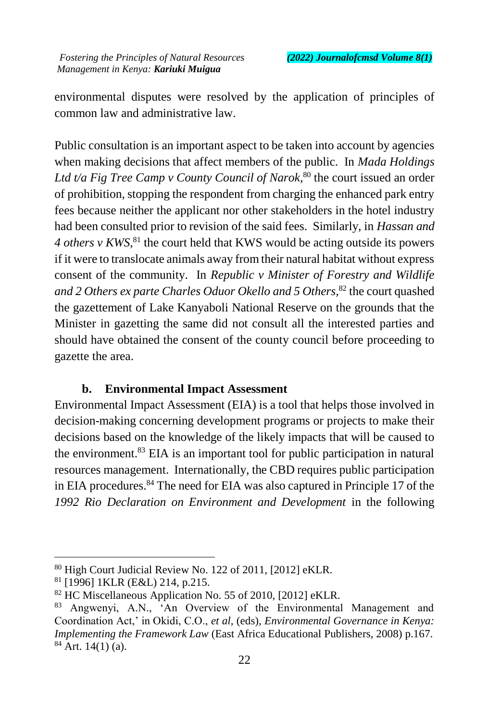environmental disputes were resolved by the application of principles of common law and administrative law.

Public consultation is an important aspect to be taken into account by agencies when making decisions that affect members of the public. In *Mada Holdings*  Ltd t/a Fig Tree Camp v County Council of Narok,<sup>80</sup> the court issued an order of prohibition, stopping the respondent from charging the enhanced park entry fees because neither the applicant nor other stakeholders in the hotel industry had been consulted prior to revision of the said fees. Similarly, in *Hassan and 4 others v KWS*<sup>81</sup>, the court held that KWS would be acting outside its powers if it were to translocate animals away from their natural habitat without express consent of the community. In *Republic v Minister of Forestry and Wildlife and 2 Others ex parte Charles Oduor Okello and 5 Others,*<sup>82</sup> the court quashed the gazettement of Lake Kanyaboli National Reserve on the grounds that the Minister in gazetting the same did not consult all the interested parties and should have obtained the consent of the county council before proceeding to gazette the area.

#### **b. Environmental Impact Assessment**

Environmental Impact Assessment (EIA) is a tool that helps those involved in decision-making concerning development programs or projects to make their decisions based on the knowledge of the likely impacts that will be caused to the environment.<sup>83</sup> EIA is an important tool for public participation in natural resources management. Internationally, the CBD requires public participation in EIA procedures. <sup>84</sup> The need for EIA was also captured in Principle 17 of the *1992 Rio Declaration on Environment and Development* in the following

 $\ddot{\phantom{a}}$ 

<sup>80</sup> High Court Judicial Review No. 122 of 2011, [2012] eKLR.

<sup>81</sup> [1996] 1KLR (E&L) 214, p.215.

<sup>&</sup>lt;sup>82</sup> HC Miscellaneous Application No. 55 of 2010, [2012] eKLR.

<sup>83</sup> Angwenyi, A.N., 'An Overview of the Environmental Management and Coordination Act,' in Okidi, C.O., *et al,* (eds), *Environmental Governance in Kenya: Implementing the Framework Law* (East Africa Educational Publishers, 2008) p.167.  $84$  Art. 14(1) (a).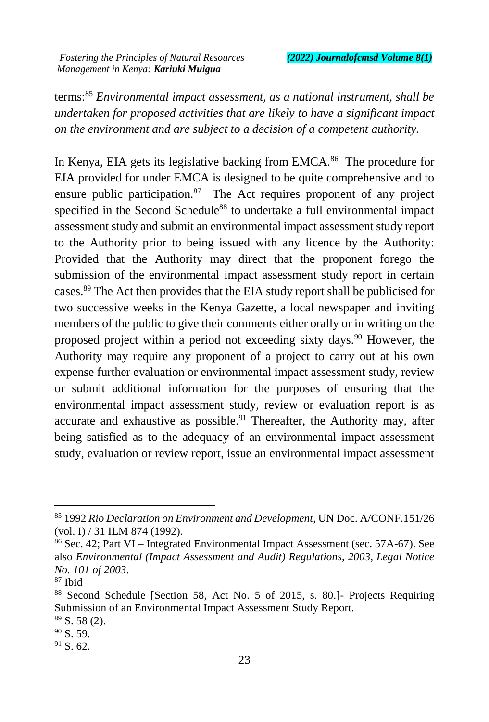terms:<sup>85</sup> *Environmental impact assessment, as a national instrument, shall be undertaken for proposed activities that are likely to have a significant impact on the environment and are subject to a decision of a competent authority.*

In Kenya, EIA gets its legislative backing from EMCA.<sup>86</sup> The procedure for EIA provided for under EMCA is designed to be quite comprehensive and to ensure public participation.<sup>87</sup> The Act requires proponent of any project specified in the Second Schedule<sup>88</sup> to undertake a full environmental impact assessment study and submit an environmental impact assessment study report to the Authority prior to being issued with any licence by the Authority: Provided that the Authority may direct that the proponent forego the submission of the environmental impact assessment study report in certain cases.<sup>89</sup> The Act then provides that the EIA study report shall be publicised for two successive weeks in the Kenya Gazette, a local newspaper and inviting members of the public to give their comments either orally or in writing on the proposed project within a period not exceeding sixty days.<sup>90</sup> However, the Authority may require any proponent of a project to carry out at his own expense further evaluation or environmental impact assessment study, review or submit additional information for the purposes of ensuring that the environmental impact assessment study, review or evaluation report is as accurate and exhaustive as possible.<sup>91</sup> Thereafter, the Authority may, after being satisfied as to the adequacy of an environmental impact assessment study, evaluation or review report, issue an environmental impact assessment

<sup>85</sup> 1992 *Rio Declaration on Environment and Development*, UN Doc. A/CONF.151/26 (vol. I) / 31 ILM 874 (1992).

<sup>86</sup> Sec. 42; Part VI – Integrated Environmental Impact Assessment (sec. 57A-67). See also *Environmental (Impact Assessment and Audit) Regulations, 2003, Legal Notice No. 101 of 2003*.

<sup>87</sup> Ibid

<sup>88</sup> Second Schedule [Section 58, Act No. 5 of 2015, s. 80.]- Projects Requiring Submission of an Environmental Impact Assessment Study Report.  $89$  S. 58 (2).

 $90$  S. 59.

<sup>&</sup>lt;sup>91</sup> S. 62.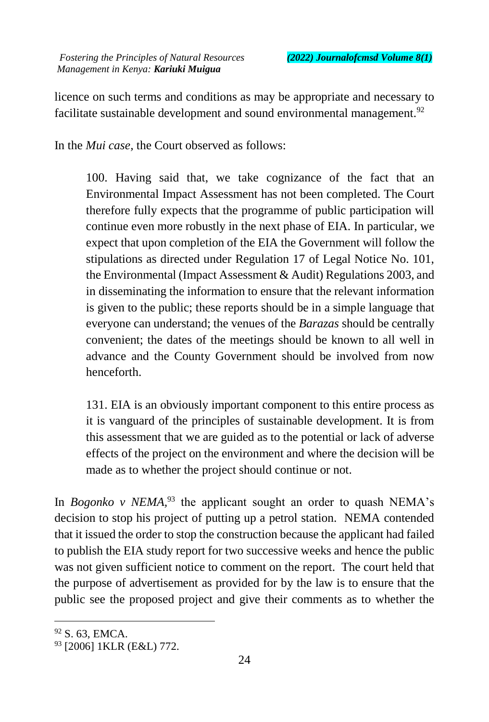licence on such terms and conditions as may be appropriate and necessary to facilitate sustainable development and sound environmental management.<sup>92</sup>

In the *Mui case,* the Court observed as follows:

100. Having said that, we take cognizance of the fact that an Environmental Impact Assessment has not been completed. The Court therefore fully expects that the programme of public participation will continue even more robustly in the next phase of EIA. In particular, we expect that upon completion of the EIA the Government will follow the stipulations as directed under Regulation 17 of Legal Notice No. 101, the Environmental (Impact Assessment & Audit) Regulations 2003, and in disseminating the information to ensure that the relevant information is given to the public; these reports should be in a simple language that everyone can understand; the venues of the *Barazas* should be centrally convenient; the dates of the meetings should be known to all well in advance and the County Government should be involved from now henceforth.

131. EIA is an obviously important component to this entire process as it is vanguard of the principles of sustainable development. It is from this assessment that we are guided as to the potential or lack of adverse effects of the project on the environment and where the decision will be made as to whether the project should continue or not.

In *Bogonko v NEMA*,<sup>93</sup> the applicant sought an order to quash NEMA's decision to stop his project of putting up a petrol station. NEMA contended that it issued the order to stop the construction because the applicant had failed to publish the EIA study report for two successive weeks and hence the public was not given sufficient notice to comment on the report. The court held that the purpose of advertisement as provided for by the law is to ensure that the public see the proposed project and give their comments as to whether the

<sup>92</sup> S. 63, EMCA.

<sup>93</sup> [2006] 1KLR (E&L) 772.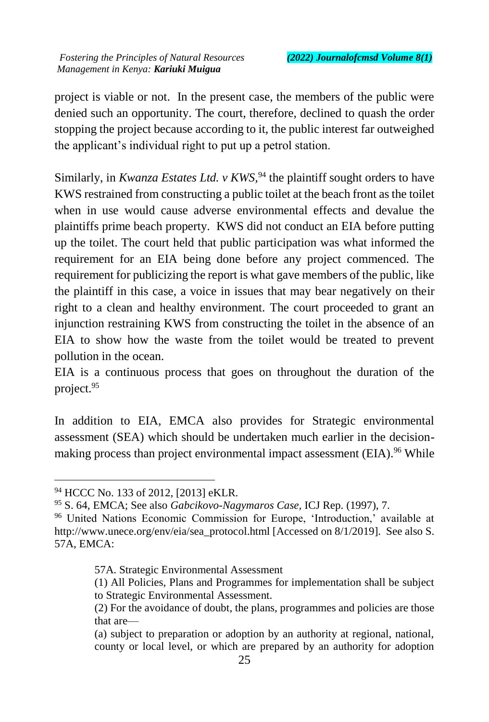project is viable or not. In the present case, the members of the public were denied such an opportunity. The court, therefore, declined to quash the order stopping the project because according to it, the public interest far outweighed the applicant's individual right to put up a petrol station.

Similarly, in *Kwanza Estates Ltd. v KWS*,<sup>94</sup> the plaintiff sought orders to have KWS restrained from constructing a public toilet at the beach front as the toilet when in use would cause adverse environmental effects and devalue the plaintiffs prime beach property. KWS did not conduct an EIA before putting up the toilet. The court held that public participation was what informed the requirement for an EIA being done before any project commenced. The requirement for publicizing the report is what gave members of the public, like the plaintiff in this case, a voice in issues that may bear negatively on their right to a clean and healthy environment. The court proceeded to grant an injunction restraining KWS from constructing the toilet in the absence of an EIA to show how the waste from the toilet would be treated to prevent pollution in the ocean.

EIA is a continuous process that goes on throughout the duration of the project.<sup>95</sup>

In addition to EIA, EMCA also provides for Strategic environmental assessment (SEA) which should be undertaken much earlier in the decisionmaking process than project environmental impact assessment (EIA).<sup>96</sup> While

 $\ddot{\phantom{a}}$ 

<sup>94</sup> HCCC No. 133 of 2012, [2013] eKLR.

<sup>95</sup> S. 64, EMCA; See also *Gabcikovo-Nagymaros Case,* ICJ Rep. (1997), 7.

<sup>96</sup> United Nations Economic Commission for Europe, 'Introduction,' available at http://www.unece.org/env/eia/sea\_protocol.html [Accessed on 8/1/2019]. See also S. 57A, EMCA:

<sup>57</sup>A. Strategic Environmental Assessment

<sup>(1)</sup> All Policies, Plans and Programmes for implementation shall be subject to Strategic Environmental Assessment.

<sup>(2)</sup> For the avoidance of doubt, the plans, programmes and policies are those that are—

<sup>(</sup>a) subject to preparation or adoption by an authority at regional, national, county or local level, or which are prepared by an authority for adoption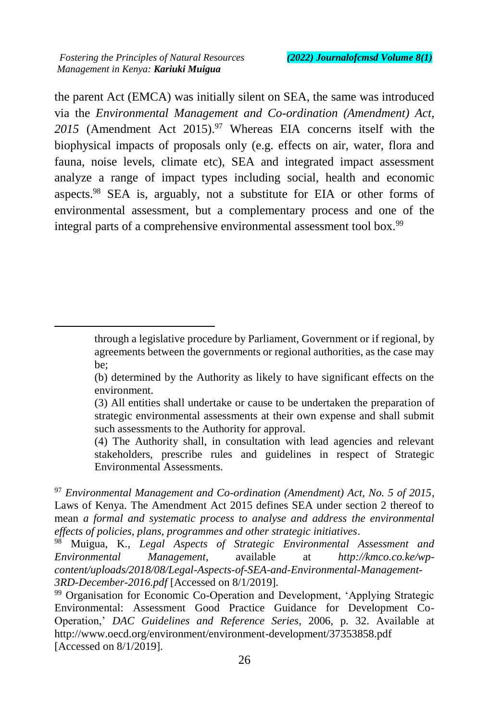$\ddot{\phantom{a}}$ 

the parent Act (EMCA) was initially silent on SEA, the same was introduced via the *Environmental Management and Co-ordination (Amendment) Act,*  2015 (Amendment Act 2015).<sup>97</sup> Whereas EIA concerns itself with the biophysical impacts of proposals only (e.g. effects on air, water, flora and fauna, noise levels, climate etc), SEA and integrated impact assessment analyze a range of impact types including social, health and economic aspects.<sup>98</sup> SEA is, arguably, not a substitute for EIA or other forms of environmental assessment, but a complementary process and one of the integral parts of a comprehensive environmental assessment tool box.<sup>99</sup>

(4) The Authority shall, in consultation with lead agencies and relevant stakeholders, prescribe rules and guidelines in respect of Strategic Environmental Assessments.

<sup>97</sup> *Environmental Management and Co-ordination (Amendment) Act, No. 5 of 2015*, Laws of Kenya. The Amendment Act 2015 defines SEA under section 2 thereof to mean *a formal and systematic process to analyse and address the environmental effects of policies, plans, programmes and other strategic initiatives*.

through a legislative procedure by Parliament, Government or if regional, by agreements between the governments or regional authorities, as the case may be;

<sup>(</sup>b) determined by the Authority as likely to have significant effects on the environment.

<sup>(3)</sup> All entities shall undertake or cause to be undertaken the preparation of strategic environmental assessments at their own expense and shall submit such assessments to the Authority for approval.

<sup>98</sup> Muigua, K., *Legal Aspects of Strategic Environmental Assessment and Environmental Management*, available at *http://kmco.co.ke/wpcontent/uploads/2018/08/Legal-Aspects-of-SEA-and-Environmental-Management-3RD-December-2016.pdf* [Accessed on 8/1/2019].

<sup>&</sup>lt;sup>99</sup> Organisation for Economic Co-Operation and Development, 'Applying Strategic Environmental: Assessment Good Practice Guidance for Development Co-Operation,' *DAC Guidelines and Reference Series*, 2006, p. 32. Available at http://www.oecd.org/environment/environment-development/37353858.pdf [Accessed on 8/1/2019].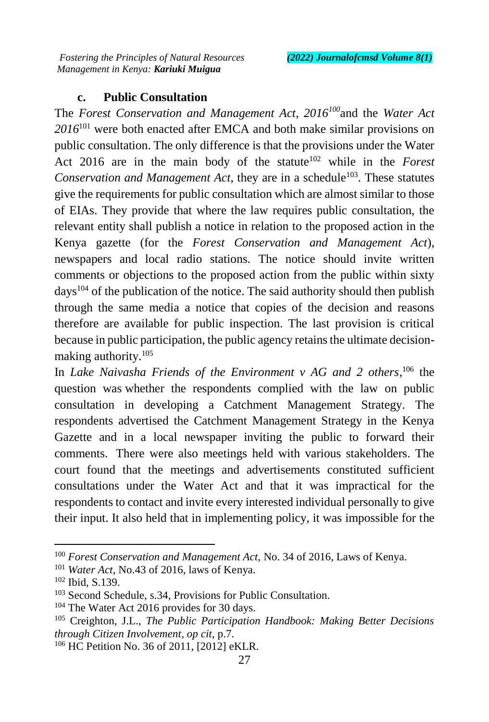# **c. Public Consultation**

The *Forest Conservation and Management Act, 2016<sup>100</sup>*and the *Water Act 2016*<sup>101</sup> were both enacted after EMCA and both make similar provisions on public consultation. The only difference is that the provisions under the Water Act 2016 are in the main body of the statute<sup>102</sup> while in the *Forest Conservation and Management Act*, they are in a schedule<sup>103</sup>. These statutes give the requirements for public consultation which are almost similar to those of EIAs. They provide that where the law requires public consultation, the relevant entity shall publish a notice in relation to the proposed action in the Kenya gazette (for the *Forest Conservation and Management Act*), newspapers and local radio stations. The notice should invite written comments or objections to the proposed action from the public within sixty  $d$ ays<sup>104</sup> of the publication of the notice. The said authority should then publish through the same media a notice that copies of the decision and reasons therefore are available for public inspection. The last provision is critical because in public participation, the public agency retains the ultimate decisionmaking authority.<sup>105</sup>

In *Lake Naivasha Friends of the Environment v AG and 2 others*,<sup>106</sup> the question was whether the respondents complied with the law on public consultation in developing a Catchment Management Strategy. The respondents advertised the Catchment Management Strategy in the Kenya Gazette and in a local newspaper inviting the public to forward their comments. There were also meetings held with various stakeholders. The court found that the meetings and advertisements constituted sufficient consultations under the Water Act and that it was impractical for the respondents to contact and invite every interested individual personally to give their input. It also held that in implementing policy, it was impossible for the

<sup>100</sup> *Forest Conservation and Management Act,* No. 34 of 2016, Laws of Kenya.

<sup>101</sup> *Water Act*, No.43 of 2016, laws of Kenya.

<sup>102</sup> Ibid, S.139.

<sup>&</sup>lt;sup>103</sup> Second Schedule, s.34, Provisions for Public Consultation.

<sup>&</sup>lt;sup>104</sup> The Water Act 2016 provides for 30 days.

<sup>105</sup> Creighton, J.L., *The Public Participation Handbook: Making Better Decisions through Citizen Involvement*, *op cit,* p.7.

<sup>106</sup> HC Petition No. 36 of 2011, [2012] eKLR.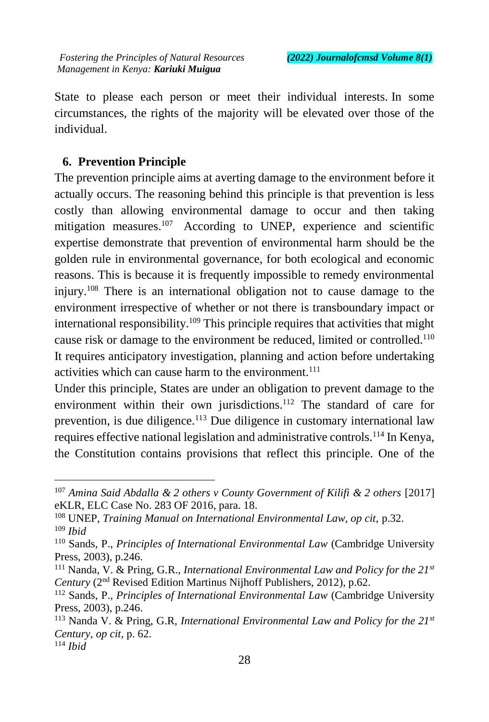State to please each person or meet their individual interests. In some circumstances, the rights of the majority will be elevated over those of the individual.

### **6. Prevention Principle**

The prevention principle aims at averting damage to the environment before it actually occurs. The reasoning behind this principle is that prevention is less costly than allowing environmental damage to occur and then taking mitigation measures.<sup>107</sup> According to UNEP, experience and scientific expertise demonstrate that prevention of environmental harm should be the golden rule in environmental governance, for both ecological and economic reasons. This is because it is frequently impossible to remedy environmental injury.<sup>108</sup> There is an international obligation not to cause damage to the environment irrespective of whether or not there is transboundary impact or international responsibility.<sup>109</sup> This principle requires that activities that might cause risk or damage to the environment be reduced, limited or controlled.<sup>110</sup> It requires anticipatory investigation, planning and action before undertaking activities which can cause harm to the environment.<sup>111</sup>

Under this principle, States are under an obligation to prevent damage to the environment within their own jurisdictions.<sup>112</sup> The standard of care for prevention, is due diligence.<sup>113</sup> Due diligence in customary international law requires effective national legislation and administrative controls.<sup>114</sup> In Kenya, the Constitution contains provisions that reflect this principle. One of the

 $\ddot{\phantom{a}}$ 

<sup>107</sup> *Amina Said Abdalla & 2 others v County Government of Kilifi & 2 others* [2017] eKLR, ELC Case No. 283 OF 2016, para. 18.

<sup>&</sup>lt;sup>108</sup> UNEP, *Training Manual on International Environmental Law, op cit, p.32.* <sup>109</sup> *Ibid*

<sup>110</sup> Sands, P., *Principles of International Environmental Law* (Cambridge University Press, 2003), p.246.

<sup>111</sup> Nanda, V. & Pring, G.R., *International Environmental Law and Policy for the 21st Century* (2nd Revised Edition Martinus Nijhoff Publishers, 2012), p.62.

<sup>112</sup> Sands, P., *Principles of International Environmental Law* (Cambridge University Press, 2003), p.246.

<sup>113</sup> Nanda V. & Pring, G.R, *International Environmental Law and Policy for the 21st Century, op cit,* p. 62.

<sup>114</sup> *Ibid*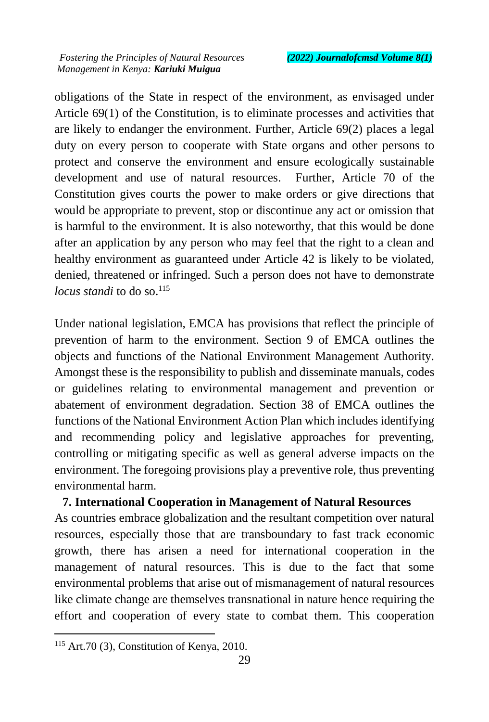obligations of the State in respect of the environment, as envisaged under Article 69(1) of the Constitution, is to eliminate processes and activities that are likely to endanger the environment. Further, Article 69(2) places a legal duty on every person to cooperate with State organs and other persons to protect and conserve the environment and ensure ecologically sustainable development and use of natural resources. Further, Article 70 of the Constitution gives courts the power to make orders or give directions that would be appropriate to prevent, stop or discontinue any act or omission that is harmful to the environment. It is also noteworthy, that this would be done after an application by any person who may feel that the right to a clean and healthy environment as guaranteed under Article 42 is likely to be violated, denied, threatened or infringed. Such a person does not have to demonstrate *locus standi* to do so.<sup>115</sup>

Under national legislation, EMCA has provisions that reflect the principle of prevention of harm to the environment. Section 9 of EMCA outlines the objects and functions of the National Environment Management Authority. Amongst these is the responsibility to publish and disseminate manuals, codes or guidelines relating to environmental management and prevention or abatement of environment degradation. Section 38 of EMCA outlines the functions of the National Environment Action Plan which includes identifying and recommending policy and legislative approaches for preventing, controlling or mitigating specific as well as general adverse impacts on the environment. The foregoing provisions play a preventive role, thus preventing environmental harm.

#### **7. International Cooperation in Management of Natural Resources**

As countries embrace globalization and the resultant competition over natural resources, especially those that are transboundary to fast track economic growth, there has arisen a need for international cooperation in the management of natural resources. This is due to the fact that some environmental problems that arise out of mismanagement of natural resources like climate change are themselves transnational in nature hence requiring the effort and cooperation of every state to combat them. This cooperation

 $\ddot{\phantom{a}}$ 

<sup>&</sup>lt;sup>115</sup> Art.70 (3), Constitution of Kenya, 2010.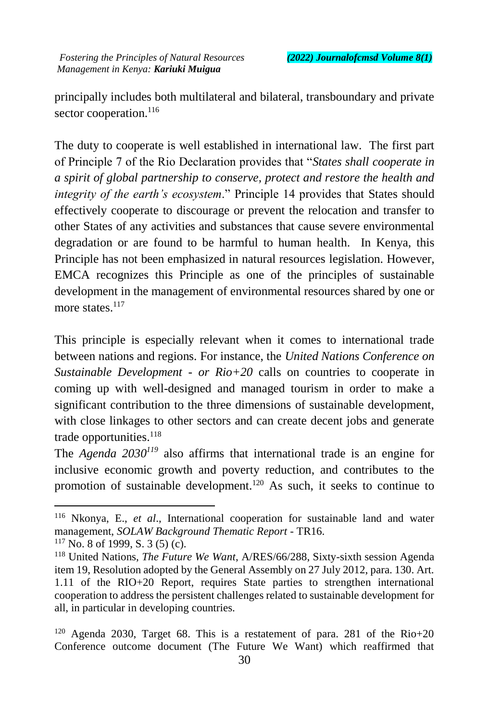principally includes both multilateral and bilateral, transboundary and private sector cooperation.<sup>116</sup>

The duty to cooperate is well established in international law. The first part of Principle 7 of the Rio Declaration provides that "*States shall cooperate in a spirit of global partnership to conserve, protect and restore the health and integrity of the earth's ecosystem*." Principle 14 provides that States should effectively cooperate to discourage or prevent the relocation and transfer to other States of any activities and substances that cause severe environmental degradation or are found to be harmful to human health. In Kenya, this Principle has not been emphasized in natural resources legislation. However, EMCA recognizes this Principle as one of the principles of sustainable development in the management of environmental resources shared by one or more states.<sup>117</sup>

This principle is especially relevant when it comes to international trade between nations and regions. For instance, the *United Nations Conference on Sustainable Development - or Rio+20* calls on countries to cooperate in coming up with well-designed and managed tourism in order to make a significant contribution to the three dimensions of sustainable development, with close linkages to other sectors and can create decent jobs and generate trade opportunities.<sup>118</sup>

The *Agenda 2030<sup>119</sup>* also affirms that international trade is an engine for inclusive economic growth and poverty reduction, and contributes to the promotion of sustainable development.<sup>120</sup> As such, it seeks to continue to

<sup>116</sup> Nkonya, E., *et al*., International cooperation for sustainable land and water management, *SOLAW Background Thematic Report* - TR16.

 $117$  No. 8 of 1999, S. 3 (5) (c).

<sup>118</sup> United Nations, *The Future We Want*, A/RES/66/288, Sixty-sixth session Agenda item 19, Resolution adopted by the General Assembly on 27 July 2012, para. 130. Art. 1.11 of the RIO+20 Report, requires State parties to strengthen international cooperation to address the persistent challenges related to sustainable development for all, in particular in developing countries.

<sup>&</sup>lt;sup>120</sup> Agenda 2030, Target 68. This is a restatement of para. 281 of the Rio+20 Conference outcome document (The Future We Want) which reaffirmed that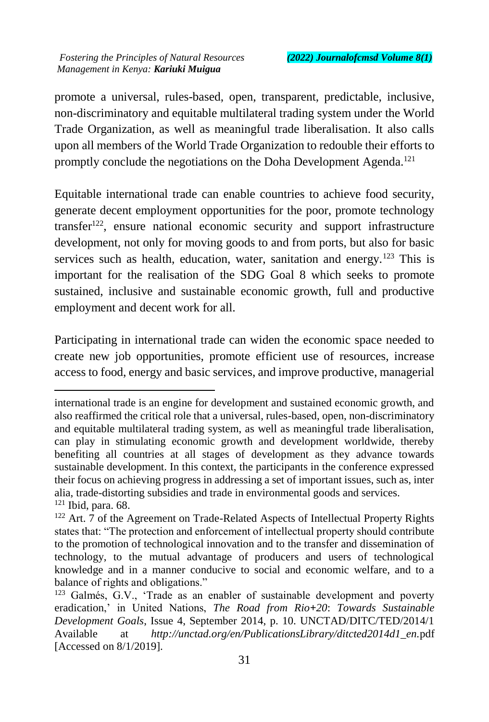$\overline{a}$ 

promote a universal, rules-based, open, transparent, predictable, inclusive, non-discriminatory and equitable multilateral trading system under the World Trade Organization, as well as meaningful trade liberalisation. It also calls upon all members of the World Trade Organization to redouble their efforts to promptly conclude the negotiations on the Doha Development Agenda.<sup>121</sup>

Equitable international trade can enable countries to achieve food security, generate decent employment opportunities for the poor, promote technology transfer <sup>122</sup>, ensure national economic security and support infrastructure development, not only for moving goods to and from ports, but also for basic services such as health, education, water, sanitation and energy.<sup>123</sup> This is important for the realisation of the SDG Goal 8 which seeks to promote sustained, inclusive and sustainable economic growth, full and productive employment and decent work for all.

Participating in international trade can widen the economic space needed to create new job opportunities, promote efficient use of resources, increase access to food, energy and basic services, and improve productive, managerial

international trade is an engine for development and sustained economic growth, and also reaffirmed the critical role that a universal, rules-based, open, non-discriminatory and equitable multilateral trading system, as well as meaningful trade liberalisation, can play in stimulating economic growth and development worldwide, thereby benefiting all countries at all stages of development as they advance towards sustainable development. In this context, the participants in the conference expressed their focus on achieving progress in addressing a set of important issues, such as, inter alia, trade-distorting subsidies and trade in environmental goods and services.  $121$  Ibid, para. 68.

<sup>&</sup>lt;sup>122</sup> Art. 7 of the Agreement on Trade-Related Aspects of Intellectual Property Rights states that: "The protection and enforcement of intellectual property should contribute to the promotion of technological innovation and to the transfer and dissemination of technology, to the mutual advantage of producers and users of technological knowledge and in a manner conducive to social and economic welfare, and to a balance of rights and obligations."

 $123$  Galmés, G.V., 'Trade as an enabler of sustainable development and poverty eradication,' in United Nations, *The Road from Rio+20*: *Towards Sustainable Development Goals*, Issue 4, September 2014, p. 10. UNCTAD/DITC/TED/2014/1 Available at *http://unctad.org/en/PublicationsLibrary/ditcted2014d1\_en.*pdf [Accessed on 8/1/2019].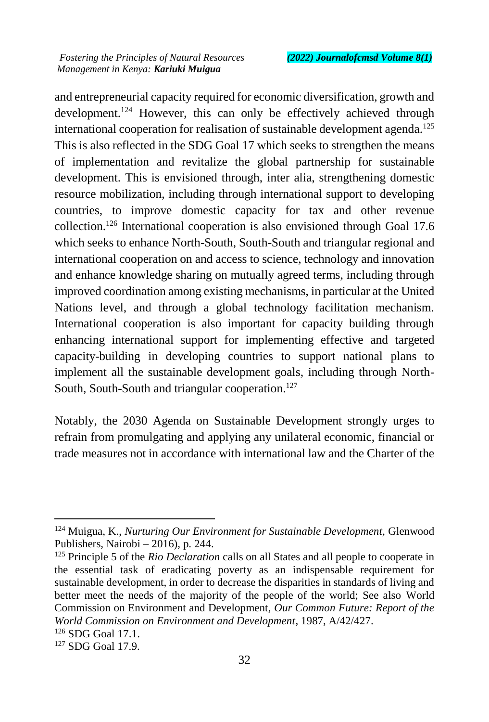and entrepreneurial capacity required for economic diversification, growth and development.<sup>124</sup> However, this can only be effectively achieved through international cooperation for realisation of sustainable development agenda.<sup>125</sup> This is also reflected in the SDG Goal 17 which seeks to strengthen the means of implementation and revitalize the global partnership for sustainable development. This is envisioned through, inter alia, strengthening domestic resource mobilization, including through international support to developing countries, to improve domestic capacity for tax and other revenue collection.<sup>126</sup> International cooperation is also envisioned through Goal 17.6 which seeks to enhance North-South, South-South and triangular regional and international cooperation on and access to science, technology and innovation and enhance knowledge sharing on mutually agreed terms, including through improved coordination among existing mechanisms, in particular at the United Nations level, and through a global technology facilitation mechanism. International cooperation is also important for capacity building through enhancing international support for implementing effective and targeted capacity-building in developing countries to support national plans to implement all the sustainable development goals, including through North-South, South-South and triangular cooperation.<sup>127</sup>

Notably, the 2030 Agenda on Sustainable Development strongly urges to refrain from promulgating and applying any unilateral economic, financial or trade measures not in accordance with international law and the Charter of the

<sup>124</sup> Muigua, K., *Nurturing Our Environment for Sustainable Development,* Glenwood Publishers, Nairobi – 2016), p. 244.

<sup>125</sup> Principle 5 of the *Rio Declaration* calls on all States and all people to cooperate in the essential task of eradicating poverty as an indispensable requirement for sustainable development, in order to decrease the disparities in standards of living and better meet the needs of the majority of the people of the world; See also World Commission on Environment and Development*, Our Common Future: Report of the World Commission on Environment and Development*, 1987, A/42/427.

<sup>126</sup> SDG Goal 17.1.

<sup>127</sup> SDG Goal 17.9.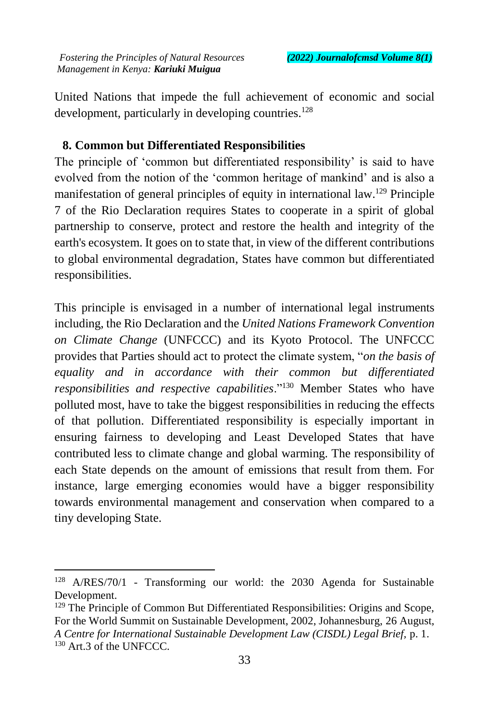United Nations that impede the full achievement of economic and social development, particularly in developing countries.<sup>128</sup>

## **8. Common but Differentiated Responsibilities**

The principle of 'common but differentiated responsibility' is said to have evolved from the notion of the 'common heritage of mankind' and is also a manifestation of general principles of equity in international law.<sup>129</sup> Principle 7 of the Rio Declaration requires States to cooperate in a spirit of global partnership to conserve, protect and restore the health and integrity of the earth's ecosystem. It goes on to state that, in view of the different contributions to global environmental degradation, States have common but differentiated responsibilities.

This principle is envisaged in a number of international legal instruments including, the Rio Declaration and the *United Nations Framework Convention on Climate Change* (UNFCCC) and its Kyoto Protocol. The UNFCCC provides that Parties should act to protect the climate system, "*on the basis of equality and in accordance with their common but differentiated responsibilities and respective capabilities*."<sup>130</sup> Member States who have polluted most, have to take the biggest responsibilities in reducing the effects of that pollution. Differentiated responsibility is especially important in ensuring fairness to developing and Least Developed States that have contributed less to climate change and global warming. The responsibility of each State depends on the amount of emissions that result from them. For instance, large emerging economies would have a bigger responsibility towards environmental management and conservation when compared to a tiny developing State.

<sup>128</sup> A/RES/70/1 - Transforming our world: the 2030 Agenda for Sustainable Development.

<sup>&</sup>lt;sup>129</sup> The Principle of Common But Differentiated Responsibilities: Origins and Scope, For the World Summit on Sustainable Development, 2002, Johannesburg, 26 August, *A Centre for International Sustainable Development Law (CISDL) Legal Brief,* p. 1. <sup>130</sup> Art.3 of the UNFCCC.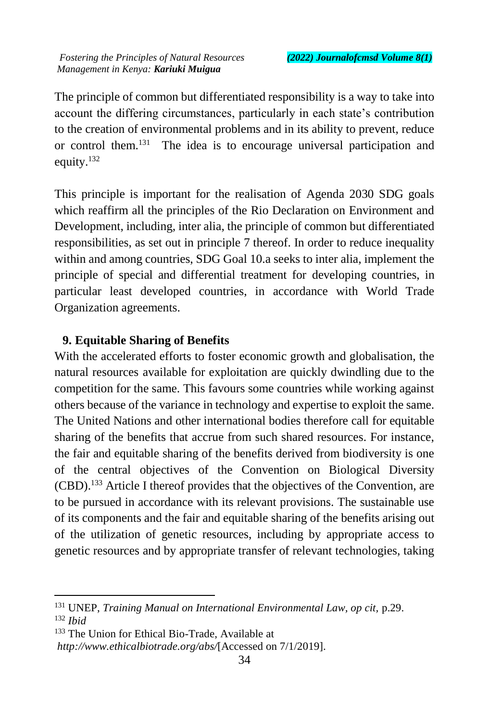The principle of common but differentiated responsibility is a way to take into account the differing circumstances, particularly in each state's contribution to the creation of environmental problems and in its ability to prevent, reduce or control them.<sup>131</sup> The idea is to encourage universal participation and equity.<sup>132</sup>

This principle is important for the realisation of Agenda 2030 SDG goals which reaffirm all the principles of the Rio Declaration on Environment and Development, including, inter alia, the principle of common but differentiated responsibilities, as set out in principle 7 thereof. In order to reduce inequality within and among countries, SDG Goal 10.a seeks to inter alia, implement the principle of special and differential treatment for developing countries, in particular least developed countries, in accordance with World Trade Organization agreements.

# **9. Equitable Sharing of Benefits**

With the accelerated efforts to foster economic growth and globalisation, the natural resources available for exploitation are quickly dwindling due to the competition for the same. This favours some countries while working against others because of the variance in technology and expertise to exploit the same. The United Nations and other international bodies therefore call for equitable sharing of the benefits that accrue from such shared resources. For instance, the fair and equitable sharing of the benefits derived from biodiversity is one of the central objectives of the Convention on Biological Diversity (CBD).<sup>133</sup> Article I thereof provides that the objectives of the Convention, are to be pursued in accordance with its relevant provisions. The sustainable use of its components and the fair and equitable sharing of the benefits arising out of the utilization of genetic resources, including by appropriate access to genetic resources and by appropriate transfer of relevant technologies, taking

<sup>131</sup> UNEP, *Training Manual on International Environmental Law, op cit,* p.29. <sup>132</sup> *Ibid*

<sup>&</sup>lt;sup>133</sup> The Union for Ethical Bio-Trade, Available at

*http://www.ethicalbiotrade.org/abs/*[Accessed on 7/1/2019].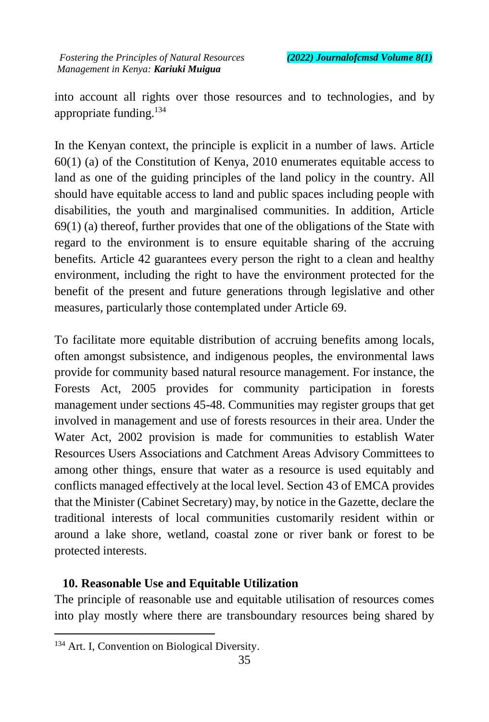into account all rights over those resources and to technologies, and by appropriate funding.<sup>134</sup>

In the Kenyan context, the principle is explicit in a number of laws. Article 60(1) (a) of the Constitution of Kenya, 2010 enumerates equitable access to land as one of the guiding principles of the land policy in the country. All should have equitable access to land and public spaces including people with disabilities, the youth and marginalised communities. In addition, Article 69(1) (a) thereof, further provides that one of the obligations of the State with regard to the environment is to ensure equitable sharing of the accruing benefits*.* Article 42 guarantees every person the right to a clean and healthy environment, including the right to have the environment protected for the benefit of the present and future generations through legislative and other measures, particularly those contemplated under Article 69.

To facilitate more equitable distribution of accruing benefits among locals, often amongst subsistence, and indigenous peoples, the environmental laws provide for community based natural resource management. For instance, the Forests Act, 2005 provides for community participation in forests management under sections 45-48. Communities may register groups that get involved in management and use of forests resources in their area. Under the Water Act, 2002 provision is made for communities to establish Water Resources Users Associations and Catchment Areas Advisory Committees to among other things, ensure that water as a resource is used equitably and conflicts managed effectively at the local level. Section 43 of EMCA provides that the Minister (Cabinet Secretary) may, by notice in the Gazette, declare the traditional interests of local communities customarily resident within or around a lake shore, wetland, coastal zone or river bank or forest to be protected interests.

#### **10. Reasonable Use and Equitable Utilization**

The principle of reasonable use and equitable utilisation of resources comes into play mostly where there are transboundary resources being shared by

 $\ddot{\phantom{a}}$ 

<sup>&</sup>lt;sup>134</sup> Art. I, Convention on Biological Diversity.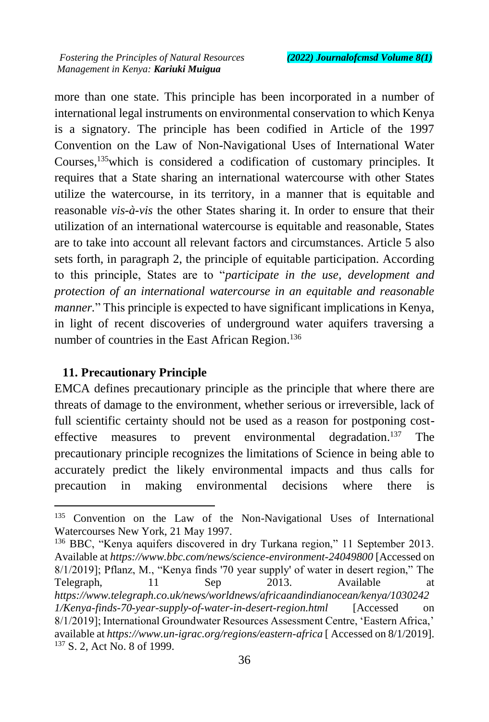more than one state. This principle has been incorporated in a number of international legal instruments on environmental conservation to which Kenya is a signatory. The principle has been codified in Article of the 1997 Convention on the Law of Non-Navigational Uses of International Water Courses,<sup>135</sup>which is considered a codification of customary principles. It requires that a State sharing an international watercourse with other States utilize the watercourse, in its territory, in a manner that is equitable and reasonable *vis-à-vis* the other States sharing it. In order to ensure that their utilization of an international watercourse is equitable and reasonable, States are to take into account all relevant factors and circumstances. Article 5 also sets forth, in paragraph 2, the principle of equitable participation. According to this principle, States are to "*participate in the use, development and protection of an international watercourse in an equitable and reasonable manner.*" This principle is expected to have significant implications in Kenya, in light of recent discoveries of underground water aquifers traversing a number of countries in the East African Region.<sup>136</sup>

### **11. Precautionary Principle**

 $\overline{a}$ 

EMCA defines precautionary principle as the principle that where there are threats of damage to the environment, whether serious or irreversible, lack of full scientific certainty should not be used as a reason for postponing costeffective measures to prevent environmental degradation.<sup>137</sup> The precautionary principle recognizes the limitations of Science in being able to accurately predict the likely environmental impacts and thus calls for precaution in making environmental decisions where there is

<sup>136</sup> BBC, "Kenya aquifers discovered in dry Turkana region," 11 September 2013. Available at *https://www.bbc.com/news/science-environment-24049800* [Accessed on 8/1/2019]; Pflanz, M., "Kenya finds '70 year supply' of water in desert region," The Telegraph, 11 Sep 2013. Available at *https://www.telegraph.co.uk/news/worldnews/africaandindianocean/kenya/1030242 1/Kenya-finds-70-year-supply-of-water-in-desert-region.html* [Accessed on 8/1/2019]; International Groundwater Resources Assessment Centre, 'Eastern Africa,' available at *https://www.un-igrac.org/regions/eastern-africa* [ Accessed on 8/1/2019]. <sup>137</sup> S. 2, Act No. 8 of 1999.

<sup>&</sup>lt;sup>135</sup> Convention on the Law of the Non-Navigational Uses of International Watercourses New York, 21 May 1997.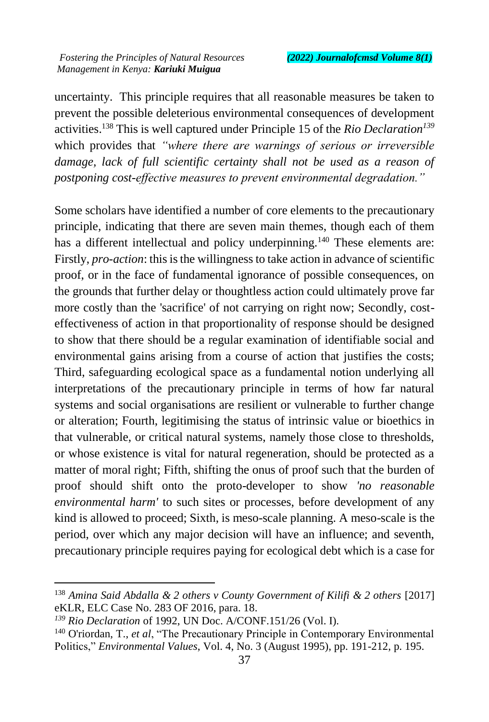uncertainty. This principle requires that all reasonable measures be taken to prevent the possible deleterious environmental consequences of development activities.<sup>138</sup> This is well captured under Principle 15 of the *Rio Declaration<sup>139</sup>* which provides that *"where there are warnings of serious or irreversible damage, lack of full scientific certainty shall not be used as a reason of postponing cost-effective measures to prevent environmental degradation."*

Some scholars have identified a number of core elements to the precautionary principle, indicating that there are seven main themes, though each of them has a different intellectual and policy underpinning.<sup>140</sup> These elements are: Firstly, *pro-action*: this is the willingness to take action in advance of scientific proof, or in the face of fundamental ignorance of possible consequences, on the grounds that further delay or thoughtless action could ultimately prove far more costly than the 'sacrifice' of not carrying on right now; Secondly, costeffectiveness of action in that proportionality of response should be designed to show that there should be a regular examination of identifiable social and environmental gains arising from a course of action that justifies the costs; Third, safeguarding ecological space as a fundamental notion underlying all interpretations of the precautionary principle in terms of how far natural systems and social organisations are resilient or vulnerable to further change or alteration; Fourth, legitimising the status of intrinsic value or bioethics in that vulnerable, or critical natural systems, namely those close to thresholds, or whose existence is vital for natural regeneration, should be protected as a matter of moral right; Fifth, shifting the onus of proof such that the burden of proof should shift onto the proto-developer to show *'no reasonable environmental harm'* to such sites or processes, before development of any kind is allowed to proceed; Sixth, is meso-scale planning. A meso-scale is the period, over which any major decision will have an influence; and seventh, precautionary principle requires paying for ecological debt which is a case for

<sup>138</sup> *Amina Said Abdalla & 2 others v County Government of Kilifi & 2 others* [2017] eKLR, ELC Case No. 283 OF 2016, para. 18.

*<sup>139</sup> Rio Declaration* of 1992, UN Doc. A/CONF.151/26 (Vol. I).

<sup>140</sup> O'riordan, T., *et al*, "The Precautionary Principle in Contemporary Environmental Politics," *Environmental Values*, Vol. 4, No. 3 (August 1995), pp. 191-212, p. 195.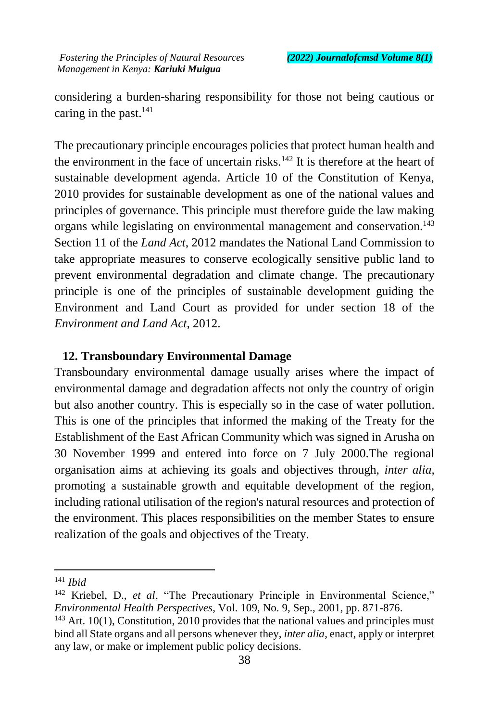considering a burden-sharing responsibility for those not being cautious or caring in the past. $^{141}$ 

The precautionary principle encourages policies that protect human health and the environment in the face of uncertain risks. $142$  It is therefore at the heart of sustainable development agenda. Article 10 of the Constitution of Kenya, 2010 provides for sustainable development as one of the national values and principles of governance. This principle must therefore guide the law making organs while legislating on environmental management and conservation.<sup>143</sup> Section 11 of the *Land Act*, 2012 mandates the National Land Commission to take appropriate measures to conserve ecologically sensitive public land to prevent environmental degradation and climate change. The precautionary principle is one of the principles of sustainable development guiding the Environment and Land Court as provided for under section 18 of the *Environment and Land Act*, 2012.

#### **12. Transboundary Environmental Damage**

Transboundary environmental damage usually arises where the impact of environmental damage and degradation affects not only the country of origin but also another country. This is especially so in the case of water pollution. This is one of the principles that informed the making of the Treaty for the Establishment of the East African Community which was signed in Arusha on 30 November 1999 and entered into force on 7 July 2000.The regional organisation aims at achieving its goals and objectives through, *inter alia,* promoting a sustainable growth and equitable development of the region, including rational utilisation of the region's natural resources and protection of the environment. This places responsibilities on the member States to ensure realization of the goals and objectives of the Treaty.

<sup>141</sup> *Ibid*

<sup>&</sup>lt;sup>142</sup> Kriebel, D., *et al*, "The Precautionary Principle in Environmental Science," *Environmental Health Perspectives*, Vol. 109, No. 9, Sep., 2001, pp. 871-876.

 $143$  Art. 10(1), Constitution, 2010 provides that the national values and principles must bind all State organs and all persons whenever they, *inter alia*, enact, apply or interpret any law, or make or implement public policy decisions.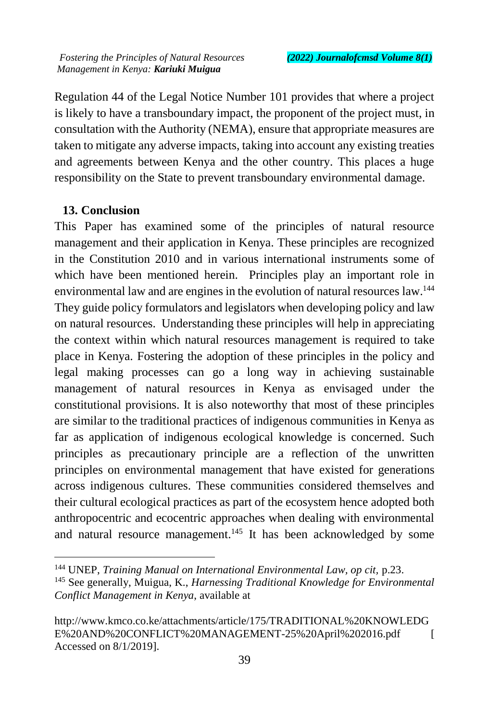Regulation 44 of the Legal Notice Number 101 provides that where a project is likely to have a transboundary impact, the proponent of the project must, in consultation with the Authority (NEMA), ensure that appropriate measures are taken to mitigate any adverse impacts, taking into account any existing treaties and agreements between Kenya and the other country. This places a huge responsibility on the State to prevent transboundary environmental damage.

### **13. Conclusion**

 $\overline{a}$ 

This Paper has examined some of the principles of natural resource management and their application in Kenya. These principles are recognized in the Constitution 2010 and in various international instruments some of which have been mentioned herein. Principles play an important role in environmental law and are engines in the evolution of natural resources law.<sup>144</sup> They guide policy formulators and legislators when developing policy and law on natural resources. Understanding these principles will help in appreciating the context within which natural resources management is required to take place in Kenya. Fostering the adoption of these principles in the policy and legal making processes can go a long way in achieving sustainable management of natural resources in Kenya as envisaged under the constitutional provisions. It is also noteworthy that most of these principles are similar to the traditional practices of indigenous communities in Kenya as far as application of indigenous ecological knowledge is concerned. Such principles as precautionary principle are a reflection of the unwritten principles on environmental management that have existed for generations across indigenous cultures. These communities considered themselves and their cultural ecological practices as part of the ecosystem hence adopted both anthropocentric and ecocentric approaches when dealing with environmental and natural resource management.<sup>145</sup> It has been acknowledged by some

<sup>144</sup> UNEP, *Training Manual on International Environmental Law, op cit,* p.23. <sup>145</sup> See generally, Muigua, K., *Harnessing Traditional Knowledge for Environmental Conflict Management in Kenya*, available at

[http://www.kmco.co.ke/attachments/article/175/TRADITIONAL%20KNOWLEDG](http://www.kmco.co.ke/attachments/article/175/TRADITIONAL%20KNOWLEDGE%20AND%20CONFLICT%20MANAGEMENT-25%20April%202016.pdf) [E%20AND%20CONFLICT%20MANAGEMENT-25%20April%202016.pdf](http://www.kmco.co.ke/attachments/article/175/TRADITIONAL%20KNOWLEDGE%20AND%20CONFLICT%20MANAGEMENT-25%20April%202016.pdf) [ Accessed on 8/1/2019].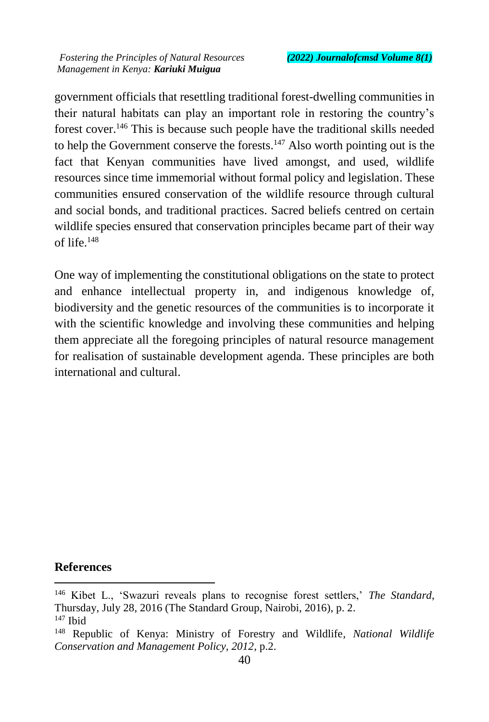government officials that resettling traditional forest-dwelling communities in their natural habitats can play an important role in restoring the country's forest cover.<sup>146</sup> This is because such people have the traditional skills needed to help the Government conserve the forests.<sup>147</sup> Also worth pointing out is the fact that Kenyan communities have lived amongst, and used, wildlife resources since time immemorial without formal policy and legislation. These communities ensured conservation of the wildlife resource through cultural and social bonds, and traditional practices. Sacred beliefs centred on certain wildlife species ensured that conservation principles became part of their way of life.<sup>148</sup>

One way of implementing the constitutional obligations on the state to protect and enhance intellectual property in, and indigenous knowledge of, biodiversity and the genetic resources of the communities is to incorporate it with the scientific knowledge and involving these communities and helping them appreciate all the foregoing principles of natural resource management for realisation of sustainable development agenda. These principles are both international and cultural.

#### **References**

<sup>146</sup> Kibet L., 'Swazuri reveals plans to recognise forest settlers,' *The Standard*, Thursday, July 28, 2016 (The Standard Group, Nairobi, 2016), p. 2.  $147$  Ibid

<sup>148</sup> Republic of Kenya: Ministry of Forestry and Wildlife, *National Wildlife Conservation and Management Policy, 2012*, p.2.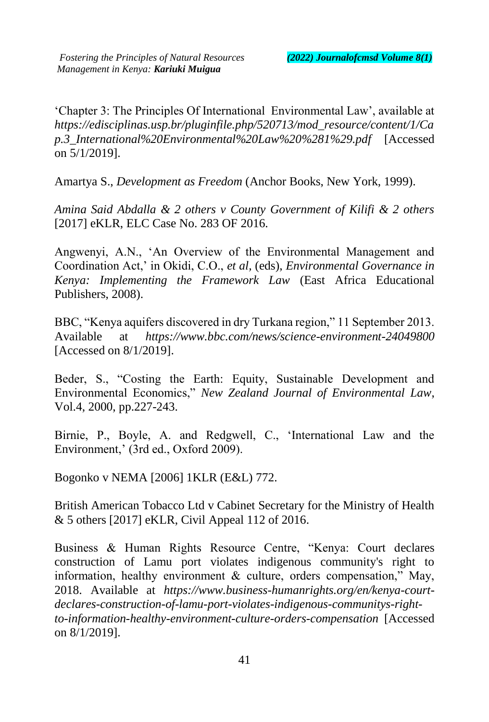'Chapter 3: The Principles Of International Environmental Law', available at *https://edisciplinas.usp.br/pluginfile.php/520713/mod\_resource/content/1/Ca p.3\_International%20Environmental%20Law%20%281%29.pdf* [Accessed on 5/1/2019].

Amartya S., *Development as Freedom* (Anchor Books, New York, 1999).

*Amina Said Abdalla & 2 others v County Government of Kilifi & 2 others* [2017] eKLR, ELC Case No. 283 OF 2016.

Angwenyi, A.N., 'An Overview of the Environmental Management and Coordination Act,' in Okidi, C.O., *et al,* (eds), *Environmental Governance in Kenya: Implementing the Framework Law* (East Africa Educational Publishers, 2008).

BBC, "Kenya aquifers discovered in dry Turkana region," 11 September 2013. Available at *https://www.bbc.com/news/science-environment-24049800* [Accessed on 8/1/2019].

Beder, S., "Costing the Earth: Equity, Sustainable Development and Environmental Economics," *New Zealand Journal of Environmental Law*, Vol.4, 2000, pp.227-243.

Birnie, P., Boyle, A. and Redgwell, C., 'International Law and the Environment,' (3rd ed., Oxford 2009).

Bogonko v NEMA [2006] 1KLR (E&L) 772.

British American Tobacco Ltd v Cabinet Secretary for the Ministry of Health & 5 others [2017] eKLR, Civil Appeal 112 of 2016.

Business & Human Rights Resource Centre, "Kenya: Court declares construction of Lamu port violates indigenous community's right to information, healthy environment  $\&$  culture, orders compensation," May, 2018. Available at *https://www.business-humanrights.org/en/kenya-courtdeclares-construction-of-lamu-port-violates-indigenous-communitys-rightto-information-healthy-environment-culture-orders-compensation* [Accessed on 8/1/2019].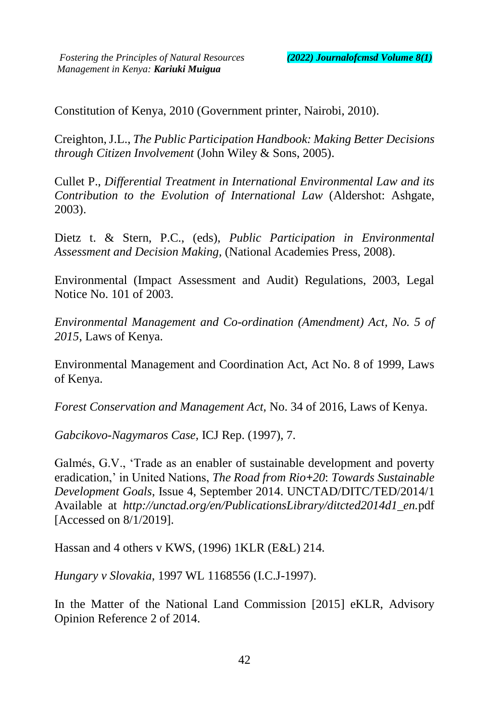Constitution of Kenya, 2010 (Government printer, Nairobi, 2010).

Creighton, J.L., *The Public Participation Handbook: Making Better Decisions through Citizen Involvement* (John Wiley & Sons, 2005).

Cullet P., *Differential Treatment in International Environmental Law and its Contribution to the Evolution of International Law* (Aldershot: Ashgate, 2003).

Dietz t. & Stern, P.C., (eds), *Public Participation in Environmental Assessment and Decision Making,* (National Academies Press, 2008).

Environmental (Impact Assessment and Audit) Regulations, 2003, Legal Notice No. 101 of 2003.

*Environmental Management and Co-ordination (Amendment) Act, No. 5 of 2015*, Laws of Kenya.

Environmental Management and Coordination Act, Act No. 8 of 1999, Laws of Kenya.

*Forest Conservation and Management Act,* No. 34 of 2016, Laws of Kenya.

*Gabcikovo-Nagymaros Case,* ICJ Rep. (1997), 7.

Galmés, G.V., 'Trade as an enabler of sustainable development and poverty eradication,' in United Nations, *The Road from Rio+20*: *Towards Sustainable Development Goals*, Issue 4, September 2014. UNCTAD/DITC/TED/2014/1 Available at *http://unctad.org/en/PublicationsLibrary/ditcted2014d1\_en.*pdf [Accessed on 8/1/2019].

Hassan and 4 others v KWS, (1996) 1KLR (E&L) 214.

*Hungary v Slovakia*, 1997 WL 1168556 (I.C.J-1997).

In the Matter of the National Land Commission [2015] eKLR, Advisory Opinion Reference 2 of 2014.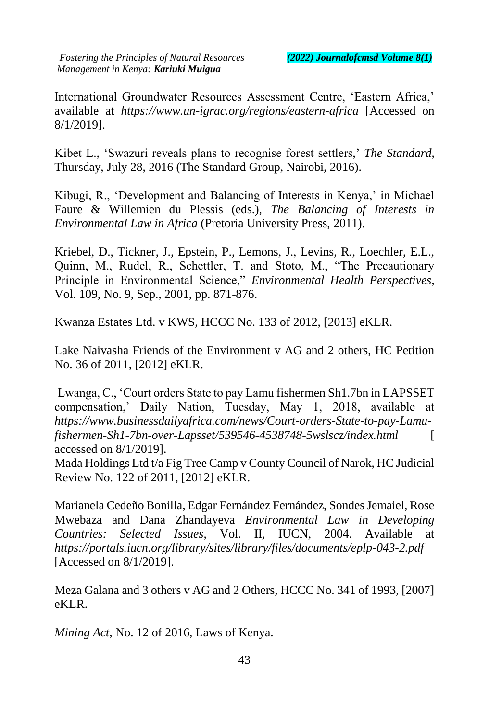International Groundwater Resources Assessment Centre, 'Eastern Africa,' available at *https://www.un-igrac.org/regions/eastern-africa* [Accessed on 8/1/2019].

Kibet L., 'Swazuri reveals plans to recognise forest settlers,' *The Standard*, Thursday, July 28, 2016 (The Standard Group, Nairobi, 2016).

Kibugi, R., 'Development and Balancing of Interests in Kenya,' in Michael Faure & Willemien du Plessis (eds.), *The Balancing of Interests in Environmental Law in Africa* (Pretoria University Press, 2011).

Kriebel, D., Tickner, J., Epstein, P., Lemons, J., Levins, R., Loechler, E.L., Quinn, M., Rudel, R., Schettler, T. and Stoto, M., "The Precautionary Principle in Environmental Science," *Environmental Health Perspectives*, Vol. 109, No. 9, Sep., 2001, pp. 871-876.

Kwanza Estates Ltd. v KWS, HCCC No. 133 of 2012, [2013] eKLR.

Lake Naivasha Friends of the Environment v AG and 2 others, HC Petition No. 36 of 2011, [2012] eKLR.

Lwanga, C., 'Court orders State to pay Lamu fishermen Sh1.7bn in LAPSSET compensation,' Daily Nation, Tuesday, May 1, 2018, available at *https://www.businessdailyafrica.com/news/Court-orders-State-to-pay-Lamufishermen-Sh1-7bn-over-Lapsset/539546-4538748-5wslscz/index.html* [ accessed on 8/1/2019].

Mada Holdings Ltd t/a Fig Tree Camp v County Council of Narok, HC Judicial Review No. 122 of 2011, [2012] eKLR.

Marianela Cedeño Bonilla, Edgar Fernández Fernández, Sondes Jemaiel, Rose Mwebaza and Dana Zhandayeva *Environmental Law in Developing Countries: Selected Issues*, Vol. II, IUCN, 2004. Available at *https://portals.iucn.org/library/sites/library/files/documents/eplp-043-2.pdf* [Accessed on 8/1/2019].

Meza Galana and 3 others v AG and 2 Others, HCCC No. 341 of 1993, [2007] eKLR.

*Mining Act,* No. 12 of 2016, Laws of Kenya.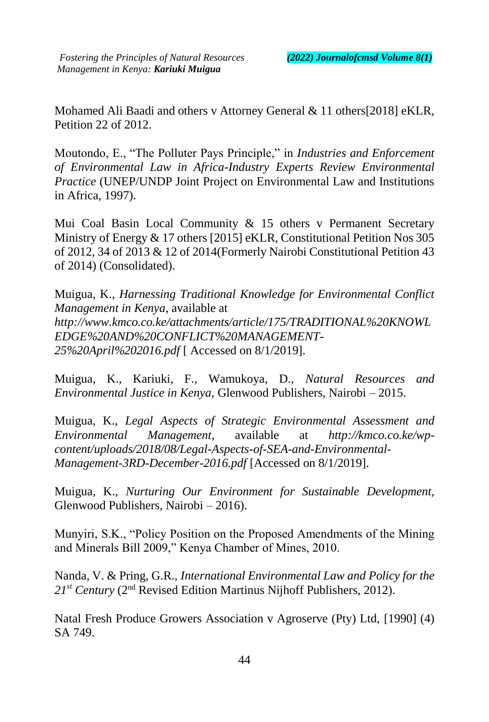Mohamed Ali Baadi and others v Attorney General & 11 others[2018] eKLR, Petition 22 of 2012.

Moutondo, E., "The Polluter Pays Principle," in *Industries and Enforcement of Environmental Law in Africa-Industry Experts Review Environmental Practice* (UNEP/UNDP Joint Project on Environmental Law and Institutions in Africa, 1997).

Mui Coal Basin Local Community & 15 others v Permanent Secretary Ministry of Energy & 17 others [2015] eKLR, Constitutional Petition Nos 305 of 2012, 34 of 2013 & 12 of 2014(Formerly Nairobi Constitutional Petition 43 of 2014) (Consolidated).

Muigua, K., *Harnessing Traditional Knowledge for Environmental Conflict Management in Kenya*, available at *http://www.kmco.co.ke/attachments/article/175/TRADITIONAL%20KNOWL EDGE%20AND%20CONFLICT%20MANAGEMENT-25%20April%202016.pdf* [ Accessed on 8/1/2019].

Muigua, K., Kariuki, F., Wamukoya, D., *Natural Resources and Environmental Justice in Kenya,* Glenwood Publishers, Nairobi – 2015.

Muigua, K., *Legal Aspects of Strategic Environmental Assessment and Environmental Management*, available at *http://kmco.co.ke/wpcontent/uploads/2018/08/Legal-Aspects-of-SEA-and-Environmental-Management-3RD-December-2016.pdf* [Accessed on 8/1/2019].

Muigua, K., *Nurturing Our Environment for Sustainable Development,*  Glenwood Publishers, Nairobi – 2016).

Munyiri, S.K., "Policy Position on the Proposed Amendments of the Mining and Minerals Bill 2009," Kenya Chamber of Mines, 2010.

Nanda, V. & Pring, G.R., *International Environmental Law and Policy for the 21st Century* (2nd Revised Edition Martinus Nijhoff Publishers, 2012).

Natal Fresh Produce Growers Association v Agroserve (Pty) Ltd, [1990] (4) SA 749.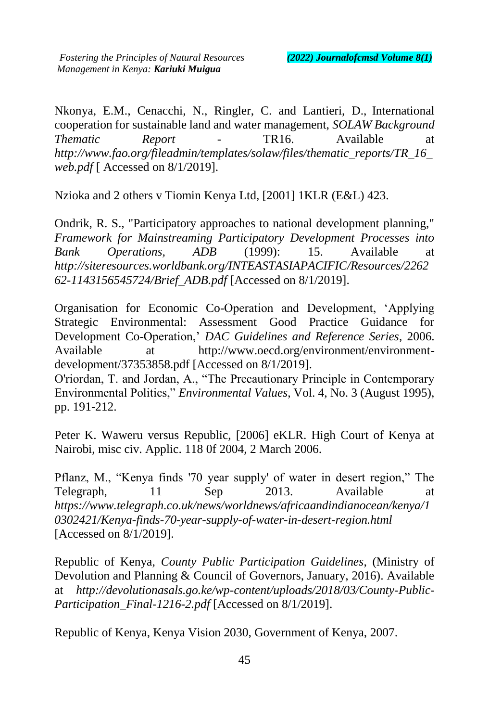Nkonya, E.M., Cenacchi, N., Ringler, C. and Lantieri, D., International cooperation for sustainable land and water management, *SOLAW Background Thematic Report* - TR16. Available at *http://www.fao.org/fileadmin/templates/solaw/files/thematic\_reports/TR\_16\_ web.pdf* [ Accessed on 8/1/2019].

Nzioka and 2 others v Tiomin Kenya Ltd, [2001] 1KLR (E&L) 423.

Ondrik, R. S., "Participatory approaches to national development planning," *Framework for Mainstreaming Participatory Development Processes into Bank Operations, ADB* (1999): 15. Available at *http://siteresources.worldbank.org/INTEASTASIAPACIFIC/Resources/2262 62-1143156545724/Brief\_ADB.pdf* [Accessed on 8/1/2019].

Organisation for Economic Co-Operation and Development, 'Applying Strategic Environmental: Assessment Good Practice Guidance for Development Co-Operation,' *DAC Guidelines and Reference Series*, 2006. Available at http://www.oecd.org/environment/environmentdevelopment/37353858.pdf [Accessed on 8/1/2019].

O'riordan, T. and Jordan, A., "The Precautionary Principle in Contemporary Environmental Politics," *Environmental Values*, Vol. 4, No. 3 (August 1995), pp. 191-212.

Peter K. Waweru versus Republic, [2006] eKLR. High Court of Kenya at Nairobi, misc civ. Applic. 118 0f 2004, 2 March 2006.

Pflanz, M., "Kenya finds '70 year supply' of water in desert region," The Telegraph, 11 Sep 2013. Available at *https://www.telegraph.co.uk/news/worldnews/africaandindianocean/kenya/1 0302421/Kenya-finds-70-year-supply-of-water-in-desert-region.html* [Accessed on 8/1/2019].

Republic of Kenya, *County Public Participation Guidelines*, (Ministry of Devolution and Planning & Council of Governors, January, 2016). Available at *http://devolutionasals.go.ke/wp-content/uploads/2018/03/County-Public-Participation\_Final-1216-2.pdf* [Accessed on 8/1/2019].

Republic of Kenya, Kenya Vision 2030, Government of Kenya, 2007.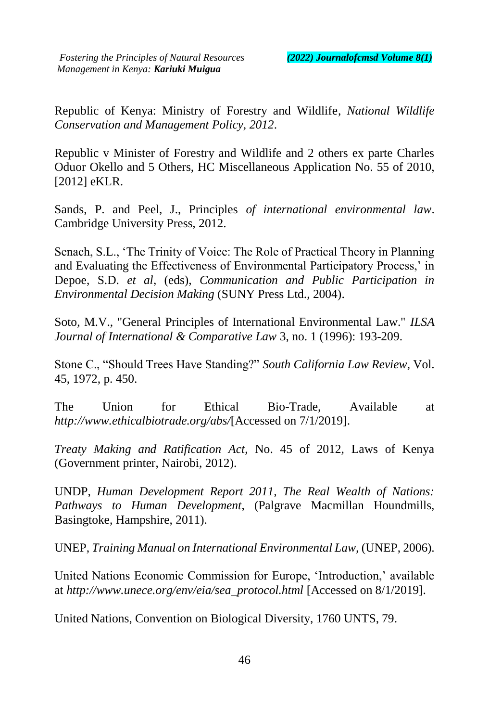Republic of Kenya: Ministry of Forestry and Wildlife, *National Wildlife Conservation and Management Policy, 2012*.

Republic v Minister of Forestry and Wildlife and 2 others ex parte Charles Oduor Okello and 5 Others, HC Miscellaneous Application No. 55 of 2010, [2012] eKLR.

Sands, P. and Peel, J., Principles *of international environmental law*. Cambridge University Press, 2012.

Senach, S.L., 'The Trinity of Voice: The Role of Practical Theory in Planning and Evaluating the Effectiveness of Environmental Participatory Process,' in Depoe, S.D. *et al*, (eds), *Communication and Public Participation in Environmental Decision Making* (SUNY Press Ltd., 2004).

Soto, M.V., "General Principles of International Environmental Law." *ILSA Journal of International & Comparative Law* 3, no. 1 (1996): 193-209.

Stone C., "Should Trees Have Standing?" *South California Law Review,* Vol. 45, 1972, p. 450.

The Union for Ethical Bio-Trade, Available at *http://www.ethicalbiotrade.org/abs/*[Accessed on 7/1/2019].

*Treaty Making and Ratification Act*, No. 45 of 2012, Laws of Kenya (Government printer, Nairobi, 2012).

UNDP, *Human Development Report 2011, The Real Wealth of Nations: Pathways to Human Development*, (Palgrave Macmillan Houndmills, Basingtoke, Hampshire, 2011).

UNEP, *Training Manual on International Environmental Law,* (UNEP, 2006).

United Nations Economic Commission for Europe, 'Introduction,' available at *http://www.unece.org/env/eia/sea\_protocol.html* [Accessed on 8/1/2019].

United Nations, Convention on Biological Diversity, 1760 UNTS, 79.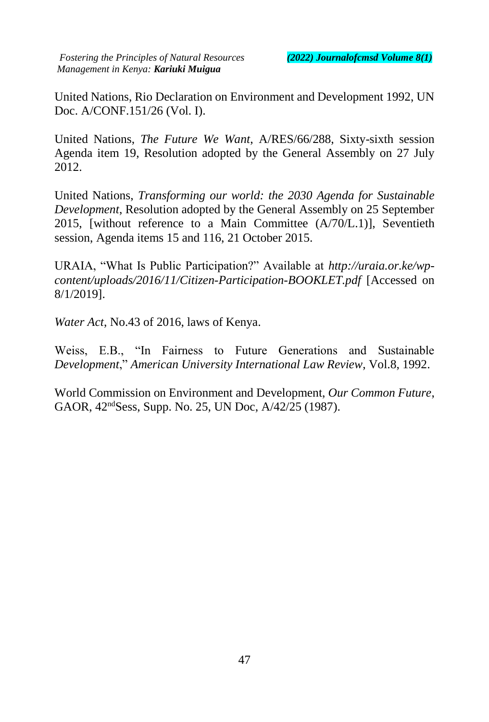United Nations, Rio Declaration on Environment and Development 1992, UN Doc. A/CONF.151/26 (Vol. I).

United Nations, *The Future We Want*, A/RES/66/288, Sixty-sixth session Agenda item 19, Resolution adopted by the General Assembly on 27 July 2012.

United Nations, *Transforming our world: the 2030 Agenda for Sustainable Development*, Resolution adopted by the General Assembly on 25 September 2015, [without reference to a Main Committee  $(A/70/L.1)$ ], Seventieth session, Agenda items 15 and 116, 21 October 2015.

URAIA, "What Is Public Participation?" Available at *[http://uraia.or.ke/wp](http://uraia.or.ke/wp-content/uploads/2016/11/Citizen-Participation-BOOKLET.pdf)[content/uploads/2016/11/Citizen-Participation-BOOKLET.pdf](http://uraia.or.ke/wp-content/uploads/2016/11/Citizen-Participation-BOOKLET.pdf)* [Accessed on 8/1/2019].

*Water Act*, No.43 of 2016, laws of Kenya.

Weiss, E.B., "In Fairness to Future Generations and Sustainable *Development*," *American University International Law Review*, Vol.8, 1992.

World Commission on Environment and Development, *Our Common Future*, GAOR, 42ndSess, Supp. No. 25, UN Doc, A/42/25 (1987).